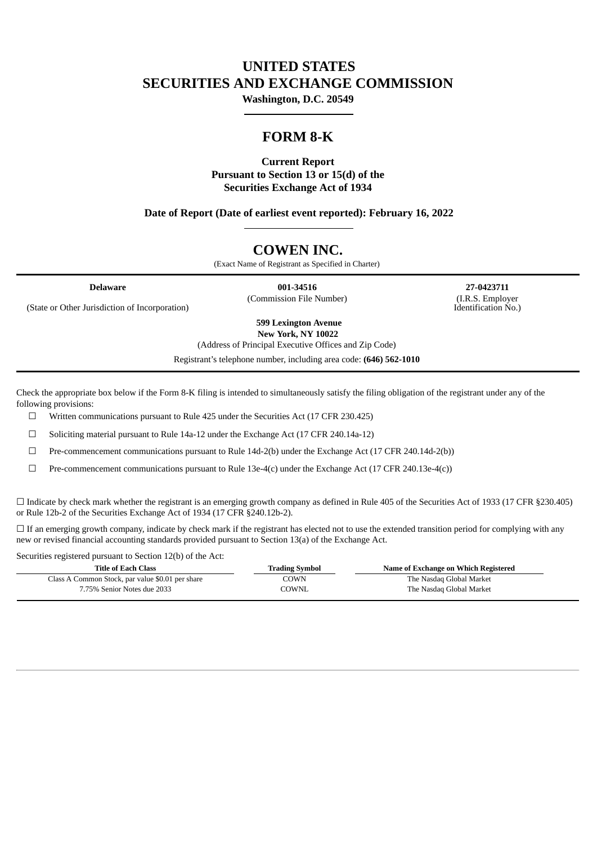# **UNITED STATES SECURITIES AND EXCHANGE COMMISSION**

**Washington, D.C. 20549**

# **FORM 8-K**

# **Current Report Pursuant to Section 13 or 15(d) of the Securities Exchange Act of 1934**

**Date of Report (Date of earliest event reported): February 16, 2022**

# **COWEN INC.**

(Exact Name of Registrant as Specified in Charter)

**Delaware 001-34516 27-0423711** (Commission File Number) (I.R.S. Employer

Identification No.)

(State or Other Jurisdiction of Incorporation)

**599 Lexington Avenue New York, NY 10022**

(Address of Principal Executive Offices and Zip Code)

Registrant's telephone number, including area code: **(646) 562-1010**

Check the appropriate box below if the Form 8-K filing is intended to simultaneously satisfy the filing obligation of the registrant under any of the following provisions:

 $\Box$  Written communications pursuant to Rule 425 under the Securities Act (17 CFR 230.425)

☐ Soliciting material pursuant to Rule 14a-12 under the Exchange Act (17 CFR 240.14a-12)

☐ Pre-commencement communications pursuant to Rule 14d-2(b) under the Exchange Act (17 CFR 240.14d-2(b))

 $\Box$  Pre-commencement communications pursuant to Rule 13e-4(c) under the Exchange Act (17 CFR 240.13e-4(c))

 $\Box$  Indicate by check mark whether the registrant is an emerging growth company as defined in Rule 405 of the Securities Act of 1933 (17 CFR §230.405) or Rule 12b-2 of the Securities Exchange Act of 1934 (17 CFR §240.12b-2).

 $\Box$  If an emerging growth company, indicate by check mark if the registrant has elected not to use the extended transition period for complying with any new or revised financial accounting standards provided pursuant to Section 13(a) of the Exchange Act.

Securities registered pursuant to Section 12(b) of the Act:

| Title of Each Class                              | Trading Symbol | Name of Exchange on Which Registered |
|--------------------------------------------------|----------------|--------------------------------------|
| Class A Common Stock, par value \$0.01 per share | COWN           | The Nasdaq Global Market             |
| 7.75% Senior Notes due 2033                      | COWNL          | The Nasdag Global Market             |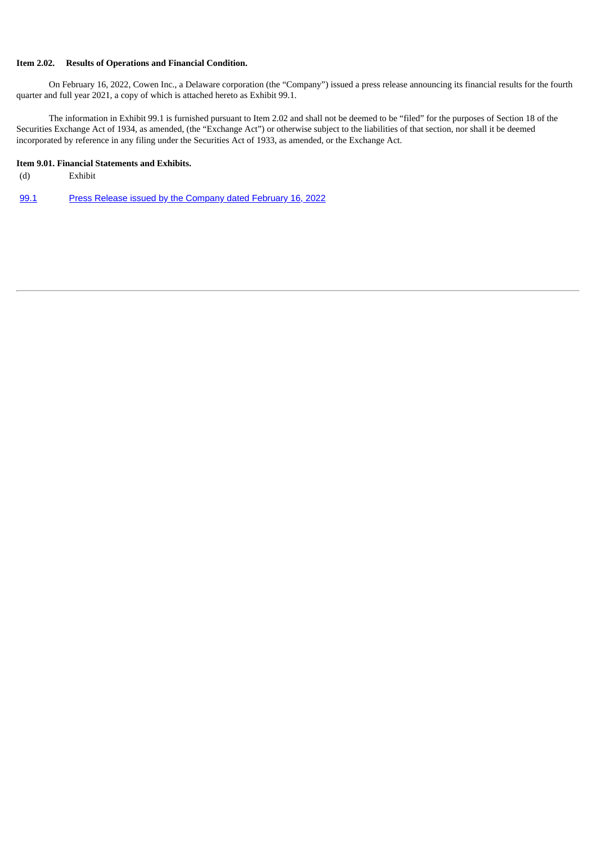## **Item 2.02. Results of Operations and Financial Condition.**

On February 16, 2022, Cowen Inc., a Delaware corporation (the "Company") issued a press release announcing its financial results for the fourth quarter and full year 2021, a copy of which is attached hereto as Exhibit 99.1.

The information in Exhibit 99.1 is furnished pursuant to Item 2.02 and shall not be deemed to be "filed" for the purposes of Section 18 of the Securities Exchange Act of 1934, as amended, (the "Exchange Act") or otherwise subject to the liabilities of that section, nor shall it be deemed incorporated by reference in any filing under the Securities Act of 1933, as amended, or the Exchange Act.

### **Item 9.01. Financial Statements and Exhibits.**

- (d) Exhibit
- [99.1](#page-3-0) Press Release issued by the [Company](#page-3-0) dated February 16, 2022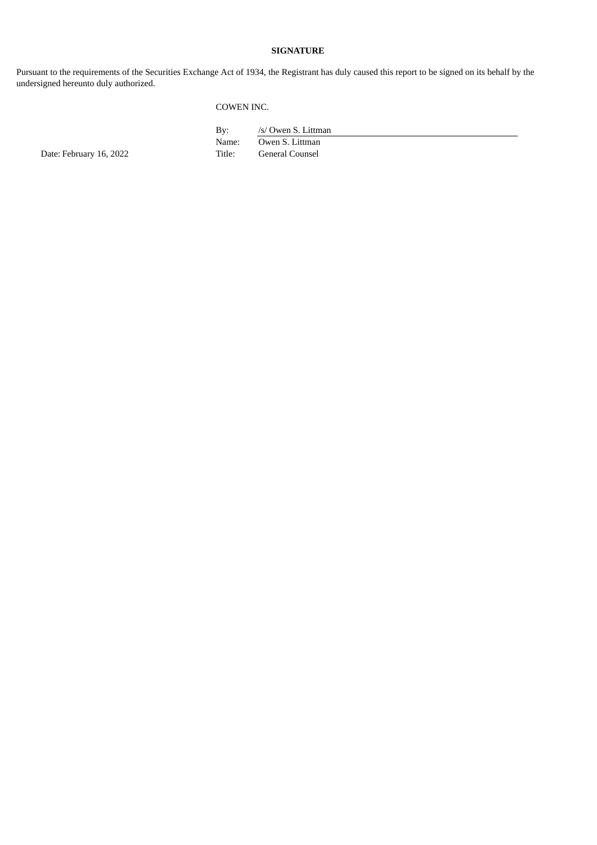## **SIGNATURE**

Pursuant to the requirements of the Securities Exchange Act of 1934, the Registrant has duly caused this report to be signed on its behalf by the undersigned hereunto duly authorized.

# COWEN INC.

By: /s/ Owen S. Littman Name: Owen S. Littman<br>Title: General Counsel

Date: February 16, 2022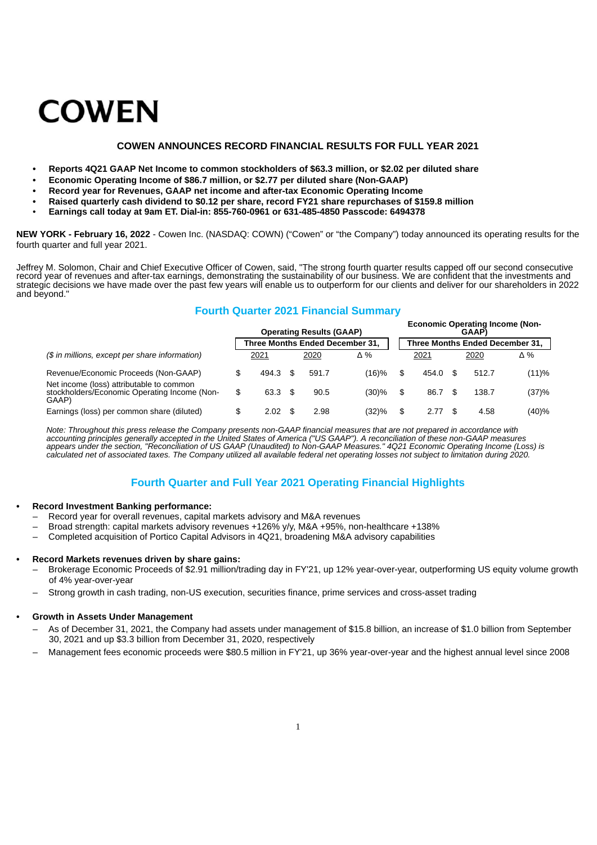# <span id="page-3-0"></span>**COWEN**

#### **COWEN ANNOUNCES RECORD FINANCIAL RESULTS FOR FULL YEAR 2021**

- **• Reports 4Q21 GAAP Net Income to common stockholders of \$63.3 million, or \$2.02 per diluted share**
- **• Economic Operating Income of \$86.7 million, or \$2.77 per diluted share (Non-GAAP)**
- **• Record year for Revenues, GAAP net income and after-tax Economic Operating Income**
- **• Raised quarterly cash dividend to \$0.12 per share, record FY21 share repurchases of \$159.8 million**
- **Earnings call today at 9am ET. Dial-in: 855-760-0961 or 631-485-4850 Passcode: 6494378**

**NEW YORK - February 16, 2022** - Cowen Inc. (NASDAQ: COWN) ("Cowen" or "the Company") today announced its operating results for the fourth quarter and full year 2021.

Jeffrey M. Solomon, Chair and Chief Executive Officer of Cowen, said, "The strong fourth quarter results capped off our second consecutive record year of revenues and after-tax earnings, demonstrating the sustainability of our business. We are confident that the investments and strategic decisions we have made over the past few years will enable us to outperform for our clients and deliver for our shareholders in 2022 and beyond."

# **Fourth Quarter 2021 Financial Summary**

|                                                                                                   |             | <b>Operating Results (GAAP)</b> |       |             |    | <b>Economic Operating Income (Non-</b><br>GAAP) |            |
|---------------------------------------------------------------------------------------------------|-------------|---------------------------------|-------|-------------|----|-------------------------------------------------|------------|
|                                                                                                   |             | Three Months Ended December 31. |       |             |    | Three Months Ended December 31.                 |            |
| (\$ in millions, except per share information)                                                    | 2021        | 2020                            | Δ%    | 2021        |    | 2020                                            | $\Delta\%$ |
| Revenue/Economic Proceeds (Non-GAAP)                                                              | \$<br>494.3 | 591.7                           | (16)% | \$<br>454.0 | £. | 512.7                                           | (11)%      |
| Net income (loss) attributable to common<br>stockholders/Economic Operating Income (Non-<br>GAAP) | \$<br>63.3  | 90.5                            | (30)% | \$<br>86.7  | £. | 138.7                                           | (37)%      |
| Earnings (loss) per common share (diluted)                                                        | \$<br>2.02  | 2.98                            | (32)% | 2.77        |    | 4.58                                            | (40)%      |

*Note: Throughout this press release the Company presents non-GAAP financial measures that are not prepared in accordance with accounting principles generally accepted in the United States of America ("US GAAP"). A reconciliation of these non-GAAP measures appears under the section, "Reconciliation of US GAAP (Unaudited) to Non-GAAP Measures." 4Q21 Economic Operating Income (Loss) is calculated net of associated taxes. The Company utilized all available federal net operating losses not subject to limitation during 2020.*

# **Fourth Quarter and Full Year 2021 Operating Financial Highlights**

#### **• Record Investment Banking performance:**

- Record year for overall revenues, capital markets advisory and M&A revenues
- Broad strength: capital markets advisory revenues +126% y/y, M&A +95%, non-healthcare +138%
- Completed acquisition of Portico Capital Advisors in 4Q21, broadening M&A advisory capabilities

#### **• Record Markets revenues driven by share gains:**

- Brokerage Economic Proceeds of \$2.91 million/trading day in FY'21, up 12% year-over-year, outperforming US equity volume growth of 4% year-over-year
- Strong growth in cash trading, non-US execution, securities finance, prime services and cross-asset trading

#### **• Growth in Assets Under Management**

- As of December 31, 2021, the Company had assets under management of \$15.8 billion, an increase of \$1.0 billion from September 30, 2021 and up \$3.3 billion from December 31, 2020, respectively
- Management fees economic proceeds were \$80.5 million in FY'21, up 36% year-over-year and the highest annual level since 2008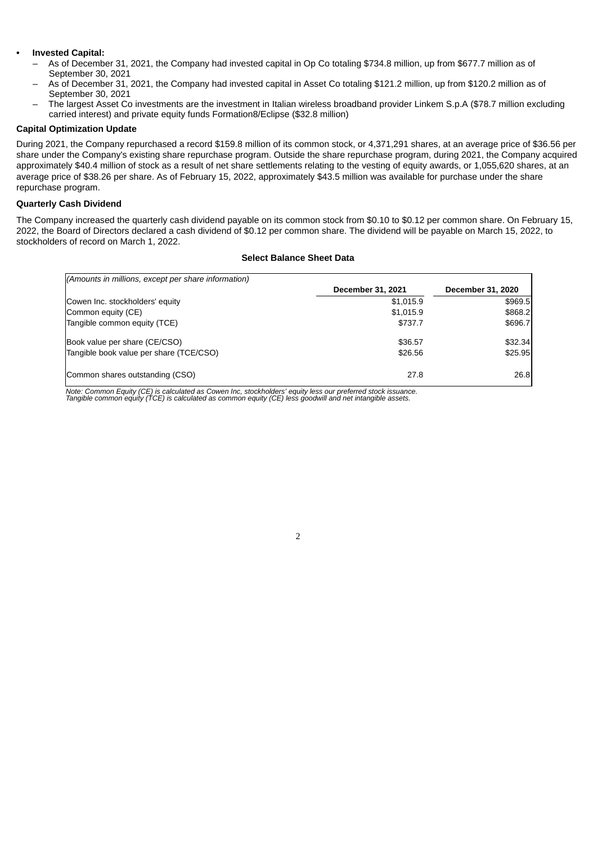#### **• Invested Capital:**

- As of December 31, 2021, the Company had invested capital in Op Co totaling \$734.8 million, up from \$677.7 million as of September 30, 2021
- As of December 31, 2021, the Company had invested capital in Asset Co totaling \$121.2 million, up from \$120.2 million as of September 30, 2021
- The largest Asset Co investments are the investment in Italian wireless broadband provider Linkem S.p.A (\$78.7 million excluding carried interest) and private equity funds Formation8/Eclipse (\$32.8 million)

#### **Capital Optimization Update**

During 2021, the Company repurchased a record \$159.8 million of its common stock, or 4,371,291 shares, at an average price of \$36.56 per share under the Company's existing share repurchase program. Outside the share repurchase program, during 2021, the Company acquired approximately \$40.4 million of stock as a result of net share settlements relating to the vesting of equity awards, or 1,055,620 shares, at an average price of \$38.26 per share. As of February 15, 2022, approximately \$43.5 million was available for purchase under the share repurchase program.

## **Quarterly Cash Dividend**

The Company increased the quarterly cash dividend payable on its common stock from \$0.10 to \$0.12 per common share. On February 15, 2022, the Board of Directors declared a cash dividend of \$0.12 per common share. The dividend will be payable on March 15, 2022, to stockholders of record on March 1, 2022.

#### **Select Balance Sheet Data**

| (Amounts in millions, except per share information) |                   |                   |
|-----------------------------------------------------|-------------------|-------------------|
|                                                     | December 31, 2021 | December 31, 2020 |
| Cowen Inc. stockholders' equity                     | \$1,015.9         | \$969.5           |
| Common equity (CE)                                  | \$1,015.9         | \$868.2           |
| Tangible common equity (TCE)                        | \$737.7           | \$696.7           |
| Book value per share (CE/CSO)                       | \$36.57           | \$32.34           |
| Tangible book value per share (TCE/CSO)             | \$26.56           | \$25.95           |
| Common shares outstanding (CSO)                     | 27.8              | 26.8              |

2

Note: Common Equity (CE) is calculated as Cowen Inc, stockholders' equity less our preferred stock issuance.<br>Tangible common equity (TCE) is calculated as common equity (CE) less goodwill and net intangible assets.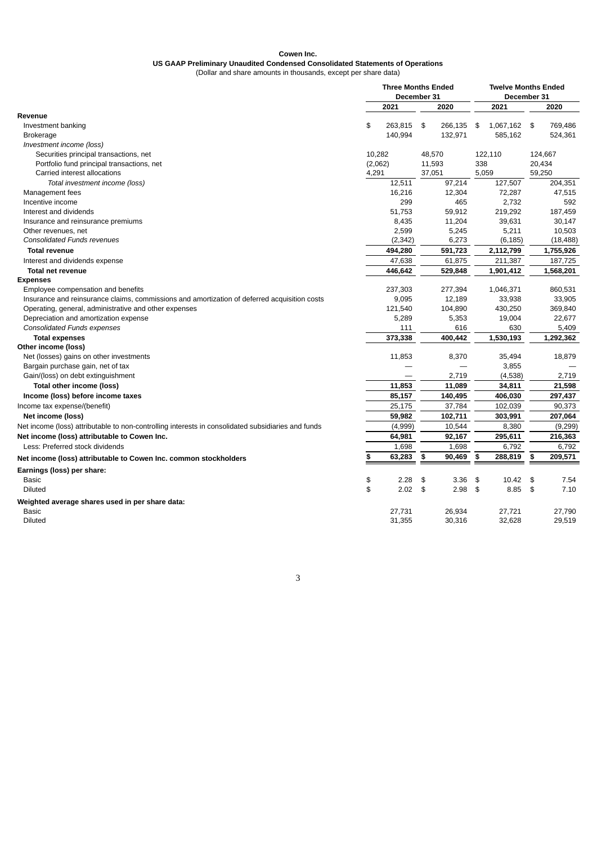#### **Cowen Inc.**

# **US GAAP Preliminary Unaudited Condensed Consolidated Statements of Operations**

(Dollar and share amounts in thousands, except per share data)

|                                                                                                    |         | <b>Three Months Ended</b> |              |       | <b>Twelve Months Ended</b> |      |           |
|----------------------------------------------------------------------------------------------------|---------|---------------------------|--------------|-------|----------------------------|------|-----------|
|                                                                                                    |         | December 31               |              |       | December 31                |      |           |
|                                                                                                    |         | 2021                      | 2020         |       | 2021                       |      | 2020      |
| Revenue                                                                                            |         |                           |              |       |                            |      |           |
| Investment banking                                                                                 | \$      | 263.815 \$                | 266,135      | \$    | 1,067,162 \$               |      | 769.486   |
| <b>Brokerage</b>                                                                                   |         | 140,994                   | 132,971      |       | 585,162                    |      | 524,361   |
| Investment income (loss)                                                                           |         |                           |              |       |                            |      |           |
| Securities principal transactions, net                                                             | 10,282  |                           | 48,570       |       | 122,110                    |      | 124,667   |
| Portfolio fund principal transactions, net                                                         | (2,062) |                           | 11,593       | 338   |                            |      | 20,434    |
| Carried interest allocations                                                                       | 4,291   |                           | 37,051       | 5,059 |                            |      | 59,250    |
| Total investment income (loss)                                                                     |         | 12,511                    | 97,214       |       | 127,507                    |      | 204,351   |
| Management fees                                                                                    |         | 16,216                    | 12,304       |       | 72,287                     |      | 47,515    |
| Incentive income                                                                                   |         | 299                       | 465          |       | 2,732                      |      | 592       |
| Interest and dividends                                                                             |         | 51,753                    | 59,912       |       | 219,292                    |      | 187,459   |
| Insurance and reinsurance premiums                                                                 |         | 8,435                     | 11,204       |       | 39,631                     |      | 30,147    |
| Other revenues, net                                                                                |         | 2,599                     | 5,245        |       | 5,211                      |      | 10,503    |
| <b>Consolidated Funds revenues</b>                                                                 |         | (2, 342)                  | 6,273        |       | (6, 185)                   |      | (18, 488) |
| <b>Total revenue</b>                                                                               |         | 494,280                   | 591,723      |       | 2,112,799                  |      | 1,755,926 |
| Interest and dividends expense                                                                     |         | 47,638                    | 61,875       |       | 211,387                    |      | 187,725   |
| <b>Total net revenue</b>                                                                           |         | 446,642                   | 529,848      |       | 1,901,412                  |      | 1,568,201 |
| <b>Expenses</b>                                                                                    |         |                           |              |       |                            |      |           |
| Employee compensation and benefits                                                                 |         | 237,303                   | 277,394      |       | 1,046,371                  |      | 860,531   |
| Insurance and reinsurance claims, commissions and amortization of deferred acquisition costs       |         | 9,095                     | 12,189       |       | 33,938                     |      | 33,905    |
| Operating, general, administrative and other expenses                                              |         | 121,540                   | 104,890      |       | 430,250                    |      | 369,840   |
| Depreciation and amortization expense                                                              |         | 5,289                     | 5,353        |       | 19,004                     |      | 22,677    |
| <b>Consolidated Funds expenses</b>                                                                 |         | 111                       | 616          |       | 630                        |      | 5,409     |
| <b>Total expenses</b>                                                                              |         | 373,338                   | 400,442      |       | $\overline{1,}530,193$     |      | 1,292,362 |
| Other income (loss)                                                                                |         |                           |              |       |                            |      |           |
| Net (losses) gains on other investments                                                            |         | 11,853                    | 8,370        |       | 35,494                     |      | 18,879    |
| Bargain purchase gain, net of tax                                                                  |         |                           |              |       | 3,855                      |      |           |
| Gain/(loss) on debt extinguishment                                                                 |         |                           | 2,719        |       | (4,538)                    |      | 2,719     |
| Total other income (loss)                                                                          |         | 11,853                    | 11,089       |       | 34,811                     |      | 21,598    |
| Income (loss) before income taxes                                                                  |         | 85,157                    | 140,495      |       | 406,030                    |      | 297,437   |
| Income tax expense/(benefit)                                                                       |         | 25,175                    | 37,784       |       | 102,039                    |      | 90,373    |
| Net income (loss)                                                                                  |         | 59,982                    | 102,711      |       | 303,991                    |      | 207,064   |
| Net income (loss) attributable to non-controlling interests in consolidated subsidiaries and funds |         | (4,999)                   | 10,544       |       | 8,380                      |      | (9, 299)  |
| Net income (loss) attributable to Cowen Inc.                                                       |         | 64,981                    | 92,167       |       | 295,611                    |      | 216,363   |
| Less: Preferred stock dividends                                                                    |         | 1,698                     | 1,698        |       | 6,792                      |      | 6,792     |
| Net income (loss) attributable to Cowen Inc. common stockholders                                   | \$      | 63,283                    | \$<br>90,469 | \$    | 288,819                    | \$   | 209,571   |
| Earnings (loss) per share:                                                                         |         |                           |              |       |                            |      |           |
| Basic                                                                                              | \$      | 2.28                      | \$<br>3.36   | \$    | 10.42                      | \$   | 7.54      |
| Diluted                                                                                            | \$      | $2.02$ \$                 | 2.98         | \$    | 8.85                       | - \$ | 7.10      |
| Weighted average shares used in per share data:                                                    |         |                           |              |       |                            |      |           |
| <b>Basic</b>                                                                                       |         | 27,731                    | 26,934       |       | 27,721                     |      | 27,790    |
| Diluted                                                                                            |         | 31,355                    | 30,316       |       | 32,628                     |      | 29,519    |
|                                                                                                    |         |                           |              |       |                            |      |           |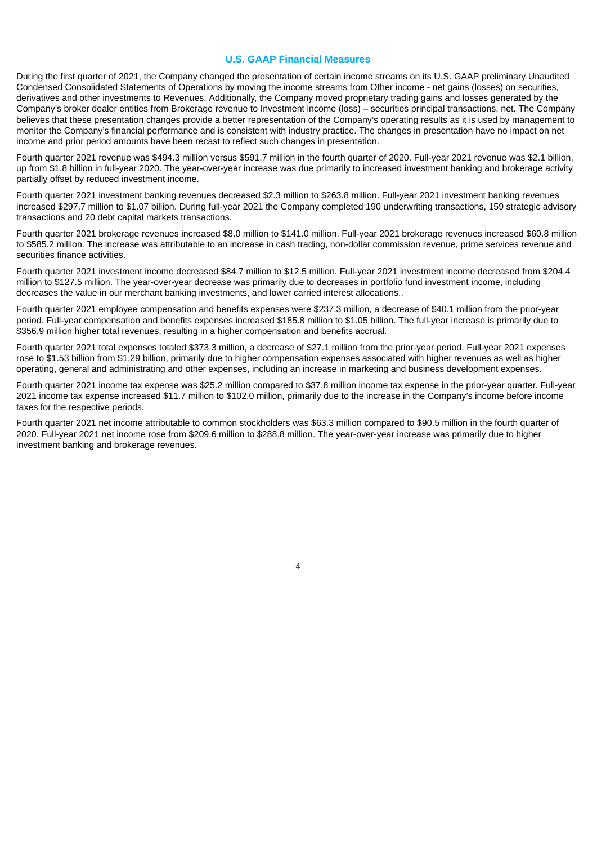#### **U.S. GAAP Financial Measures**

During the first quarter of 2021, the Company changed the presentation of certain income streams on its U.S. GAAP preliminary Unaudited Condensed Consolidated Statements of Operations by moving the income streams from Other income - net gains (losses) on securities, derivatives and other investments to Revenues. Additionally, the Company moved proprietary trading gains and losses generated by the Company's broker dealer entities from Brokerage revenue to Investment income (loss) – securities principal transactions, net. The Company believes that these presentation changes provide a better representation of the Company's operating results as it is used by management to monitor the Company's financial performance and is consistent with industry practice. The changes in presentation have no impact on net income and prior period amounts have been recast to reflect such changes in presentation.

Fourth quarter 2021 revenue was \$494.3 million versus \$591.7 million in the fourth quarter of 2020. Full-year 2021 revenue was \$2.1 billion, up from \$1.8 billion in full-year 2020. The year-over-year increase was due primarily to increased investment banking and brokerage activity partially offset by reduced investment income.

Fourth quarter 2021 investment banking revenues decreased \$2.3 million to \$263.8 million. Full-year 2021 investment banking revenues increased \$297.7 million to \$1.07 billion. During full-year 2021 the Company completed 190 underwriting transactions, 159 strategic advisory transactions and 20 debt capital markets transactions.

Fourth quarter 2021 brokerage revenues increased \$8.0 million to \$141.0 million. Full-year 2021 brokerage revenues increased \$60.8 million to \$585.2 million. The increase was attributable to an increase in cash trading, non-dollar commission revenue, prime services revenue and securities finance activities.

Fourth quarter 2021 investment income decreased \$84.7 million to \$12.5 million. Full-year 2021 investment income decreased from \$204.4 million to \$127.5 million. The year-over-year decrease was primarily due to decreases in portfolio fund investment income, including decreases the value in our merchant banking investments, and lower carried interest allocations..

Fourth quarter 2021 employee compensation and benefits expenses were \$237.3 million, a decrease of \$40.1 million from the prior-year period. Full-year compensation and benefits expenses increased \$185.8 million to \$1.05 billion. The full-year increase is primarily due to \$356.9 million higher total revenues, resulting in a higher compensation and benefits accrual.

Fourth quarter 2021 total expenses totaled \$373.3 million, a decrease of \$27.1 million from the prior-year period. Full-year 2021 expenses rose to \$1.53 billion from \$1.29 billion, primarily due to higher compensation expenses associated with higher revenues as well as higher operating, general and administrating and other expenses, including an increase in marketing and business development expenses.

Fourth quarter 2021 income tax expense was \$25.2 million compared to \$37.8 million income tax expense in the prior-year quarter. Full-year 2021 income tax expense increased \$11.7 million to \$102.0 million, primarily due to the increase in the Company's income before income taxes for the respective periods.

4

Fourth quarter 2021 net income attributable to common stockholders was \$63.3 million compared to \$90.5 million in the fourth quarter of 2020. Full-year 2021 net income rose from \$209.6 million to \$288.8 million. The year-over-year increase was primarily due to higher investment banking and brokerage revenues.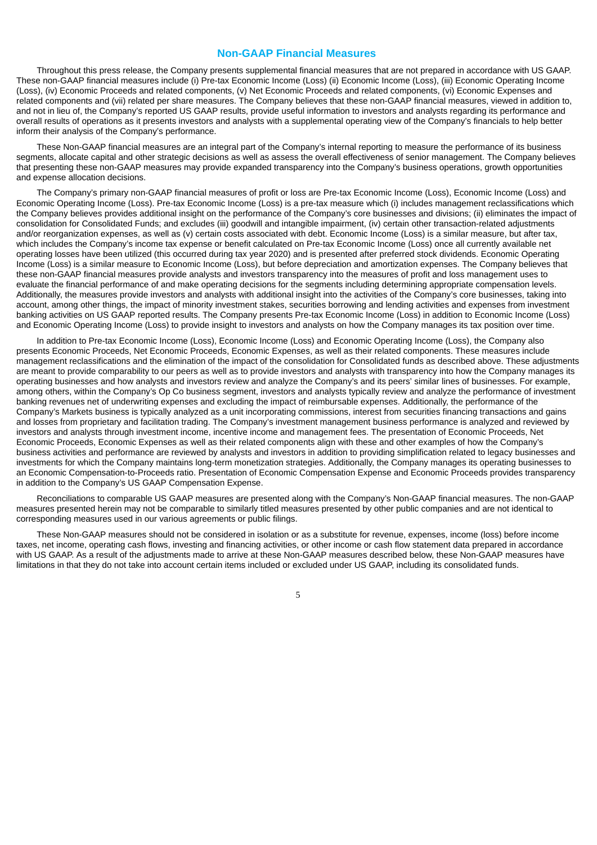#### **Non-GAAP Financial Measures**

Throughout this press release, the Company presents supplemental financial measures that are not prepared in accordance with US GAAP. These non-GAAP financial measures include (i) Pre-tax Economic Income (Loss) (ii) Economic Income (Loss), (iii) Economic Operating Income (Loss), (iv) Economic Proceeds and related components, (v) Net Economic Proceeds and related components, (vi) Economic Expenses and related components and (vii) related per share measures. The Company believes that these non-GAAP financial measures, viewed in addition to, and not in lieu of, the Company's reported US GAAP results, provide useful information to investors and analysts regarding its performance and overall results of operations as it presents investors and analysts with a supplemental operating view of the Company's financials to help better inform their analysis of the Company's performance.

These Non-GAAP financial measures are an integral part of the Company's internal reporting to measure the performance of its business segments, allocate capital and other strategic decisions as well as assess the overall effectiveness of senior management. The Company believes that presenting these non-GAAP measures may provide expanded transparency into the Company's business operations, growth opportunities and expense allocation decisions.

The Company's primary non-GAAP financial measures of profit or loss are Pre-tax Economic Income (Loss), Economic Income (Loss) and Economic Operating Income (Loss). Pre-tax Economic Income (Loss) is a pre-tax measure which (i) includes management reclassifications which the Company believes provides additional insight on the performance of the Company's core businesses and divisions; (ii) eliminates the impact of consolidation for Consolidated Funds; and excludes (iii) goodwill and intangible impairment, (iv) certain other transaction-related adjustments and/or reorganization expenses, as well as (v) certain costs associated with debt. Economic Income (Loss) is a similar measure, but after tax, which includes the Company's income tax expense or benefit calculated on Pre-tax Economic Income (Loss) once all currently available net operating losses have been utilized (this occurred during tax year 2020) and is presented after preferred stock dividends. Economic Operating Income (Loss) is a similar measure to Economic Income (Loss), but before depreciation and amortization expenses. The Company believes that these non-GAAP financial measures provide analysts and investors transparency into the measures of profit and loss management uses to evaluate the financial performance of and make operating decisions for the segments including determining appropriate compensation levels. Additionally, the measures provide investors and analysts with additional insight into the activities of the Company's core businesses, taking into account, among other things, the impact of minority investment stakes, securities borrowing and lending activities and expenses from investment banking activities on US GAAP reported results. The Company presents Pre-tax Economic Income (Loss) in addition to Economic Income (Loss) and Economic Operating Income (Loss) to provide insight to investors and analysts on how the Company manages its tax position over time.

In addition to Pre-tax Economic Income (Loss), Economic Income (Loss) and Economic Operating Income (Loss), the Company also presents Economic Proceeds, Net Economic Proceeds, Economic Expenses, as well as their related components. These measures include management reclassifications and the elimination of the impact of the consolidation for Consolidated funds as described above. These adjustments are meant to provide comparability to our peers as well as to provide investors and analysts with transparency into how the Company manages its operating businesses and how analysts and investors review and analyze the Company's and its peers' similar lines of businesses. For example, among others, within the Company's Op Co business segment, investors and analysts typically review and analyze the performance of investment banking revenues net of underwriting expenses and excluding the impact of reimbursable expenses. Additionally, the performance of the Company's Markets business is typically analyzed as a unit incorporating commissions, interest from securities financing transactions and gains and losses from proprietary and facilitation trading. The Company's investment management business performance is analyzed and reviewed by investors and analysts through investment income, incentive income and management fees. The presentation of Economic Proceeds, Net Economic Proceeds, Economic Expenses as well as their related components align with these and other examples of how the Company's business activities and performance are reviewed by analysts and investors in addition to providing simplification related to legacy businesses and investments for which the Company maintains long-term monetization strategies. Additionally, the Company manages its operating businesses to an Economic Compensation-to-Proceeds ratio. Presentation of Economic Compensation Expense and Economic Proceeds provides transparency in addition to the Company's US GAAP Compensation Expense.

Reconciliations to comparable US GAAP measures are presented along with the Company's Non-GAAP financial measures. The non-GAAP measures presented herein may not be comparable to similarly titled measures presented by other public companies and are not identical to corresponding measures used in our various agreements or public filings.

These Non-GAAP measures should not be considered in isolation or as a substitute for revenue, expenses, income (loss) before income taxes, net income, operating cash flows, investing and financing activities, or other income or cash flow statement data prepared in accordance with US GAAP. As a result of the adjustments made to arrive at these Non-GAAP measures described below, these Non-GAAP measures have limitations in that they do not take into account certain items included or excluded under US GAAP, including its consolidated funds.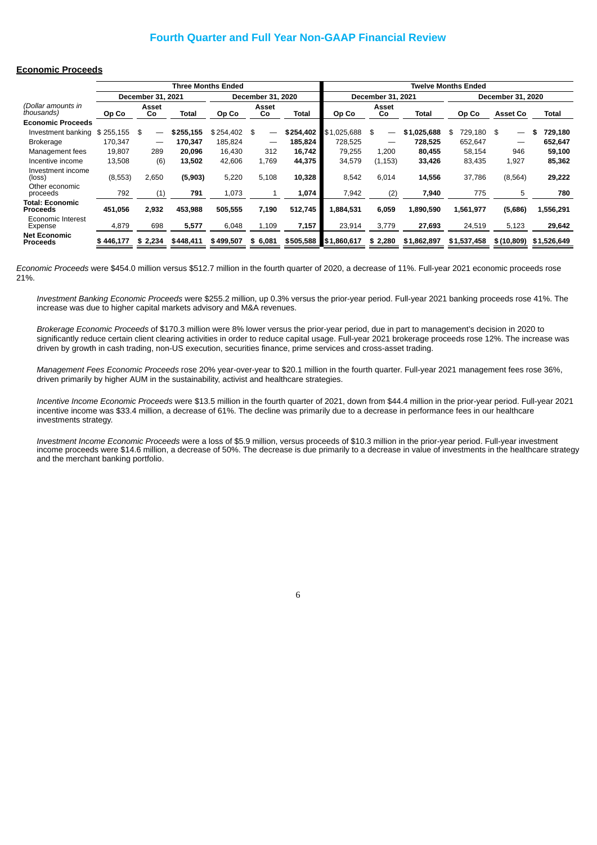# **Fourth Quarter and Full Year Non-GAAP Financial Review**

#### **Economic Proceeds**

|                                           |           |                   |           | <b>Three Months Ended</b> |                                |              |             |                                |             | <b>Twelve Months Ended</b> |                   |               |
|-------------------------------------------|-----------|-------------------|-----------|---------------------------|--------------------------------|--------------|-------------|--------------------------------|-------------|----------------------------|-------------------|---------------|
|                                           |           | December 31, 2021 |           |                           | December 31, 2020              |              |             | December 31, 2021              |             |                            | December 31, 2020 |               |
| (Dollar amounts in<br><i>thousands</i> )  | Op Co     | Asset<br>Co       | Total     | Op Co                     | Asset<br>Co                    | <b>Total</b> | Op Co       | Asset<br>Co                    | Total       | Op Co                      | <b>Asset Co</b>   | Total         |
| <b>Economic Proceeds</b>                  |           |                   |           |                           |                                |              |             |                                |             |                            |                   |               |
| Investment banking                        | \$255,155 | \$                | \$255,155 | \$254,402                 | \$<br>$\overline{\phantom{m}}$ | \$254,402    | \$1,025,688 | \$<br>$\overline{\phantom{0}}$ | \$1,025,688 | 729,180<br>\$              | \$                | 729,180<br>\$ |
| <b>Brokerage</b>                          | 170,347   |                   | 170,347   | 185,824                   |                                | 185,824      | 728.525     | —                              | 728,525     | 652,647                    |                   | 652,647       |
| Management fees                           | 19,807    | 289               | 20,096    | 16.430                    | 312                            | 16,742       | 79.255      | 1,200                          | 80,455      | 58,154                     | 946               | 59,100        |
| Incentive income                          | 13.508    | (6)               | 13.502    | 42.606                    | 1.769                          | 44.375       | 34.579      | (1, 153)                       | 33.426      | 83,435                     | 1.927             | 85,362        |
| Investment income<br>(loss)               | (8,553)   | 2,650             | (5,903)   | 5,220                     | 5,108                          | 10,328       | 8,542       | 6,014                          | 14,556      | 37,786                     | (8, 564)          | 29,222        |
| Other economic<br>proceeds                | 792       | (1)               | 791       | 1,073                     | 1                              | 1,074        | 7,942       | (2)                            | 7,940       | 775                        | 5                 | 780           |
| <b>Total: Economic</b><br><b>Proceeds</b> | 451,056   | 2,932             | 453.988   | 505.555                   | 7,190                          | 512,745      | 1.884.531   | 6,059                          | 1.890.590   | 1,561,977                  | (5,686)           | 1,556,291     |
| Economic Interest<br>Expense              | 4,879     | 698               | 5,577     | 6,048                     | 1,109                          | 7,157        | 23,914      | 3,779                          | 27,693      | 24,519                     | 5,123             | 29,642        |
| <b>Net Economic</b><br><b>Proceeds</b>    | \$446.177 | \$2,234           | \$448.411 | \$499.507                 | \$6,081                        | \$505,588    | \$1,860,617 | \$2,280                        | \$1,862,897 | \$1,537,458                | \$(10, 809)       | \$1,526,649   |

*Economic Proceeds* were \$454.0 million versus \$512.7 million in the fourth quarter of 2020, a decrease of 11%. Full-year 2021 economic proceeds rose 21%.

*Investment Banking Economic Proceeds* were \$255.2 million, up 0.3% versus the prior-year period. Full-year 2021 banking proceeds rose 41%. The increase was due to higher capital markets advisory and M&A revenues.

*Brokerage Economic Proceeds* of \$170.3 million were 8% lower versus the prior-year period, due in part to management's decision in 2020 to significantly reduce certain client clearing activities in order to reduce capital usage. Full-year 2021 brokerage proceeds rose 12%. The increase was driven by growth in cash trading, non-US execution, securities finance, prime services and cross-asset trading.

*Management Fees Economic Proceeds* rose 20% year-over-year to \$20.1 million in the fourth quarter. Full-year 2021 management fees rose 36%, driven primarily by higher AUM in the sustainability, activist and healthcare strategies.

*Incentive Income Economic Proceeds* were \$13.5 million in the fourth quarter of 2021, down from \$44.4 million in the prior-year period. Full-year 2021 incentive income was \$33.4 million, a decrease of 61%. The decline was primarily due to a decrease in performance fees in our healthcare investments strategy.

*Investment Income Economic Proceeds* were a loss of \$5.9 million, versus proceeds of \$10.3 million in the prior-year period. Full-year investment income proceeds were \$14.6 million, a decrease of 50%. The decrease is due primarily to a decrease in value of investments in the healthcare strategy and the merchant banking portfolio.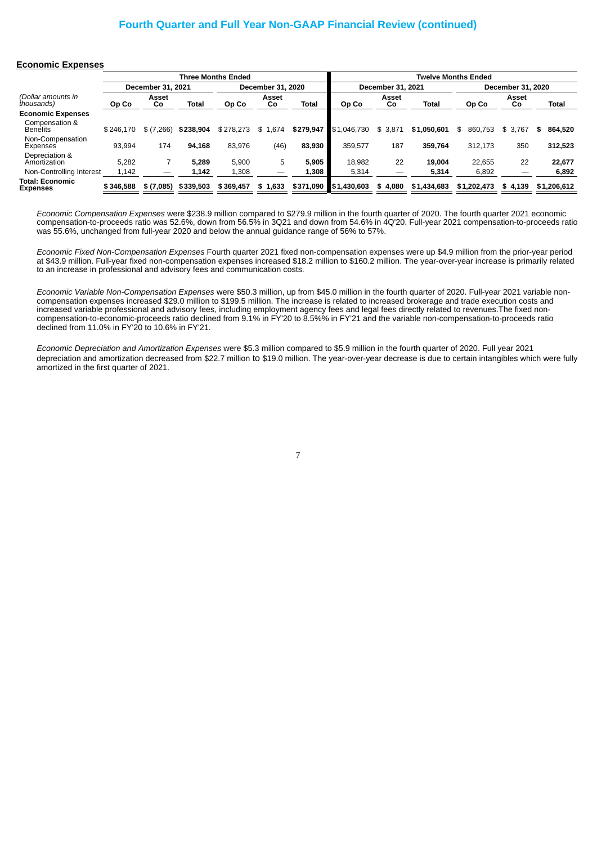# **Fourth Quarter and Full Year Non-GAAP Financial Review (continued)**

#### **Economic Expenses**

|                                           |           |                   |           | <b>Three Months Ended</b> |                   |           |             |                   |             | <b>Twelve Months Ended</b> |                   |              |
|-------------------------------------------|-----------|-------------------|-----------|---------------------------|-------------------|-----------|-------------|-------------------|-------------|----------------------------|-------------------|--------------|
|                                           |           |                   |           |                           |                   |           |             |                   |             |                            |                   |              |
|                                           |           | December 31, 2021 |           |                           | December 31, 2020 |           |             | December 31, 2021 |             |                            | December 31, 2020 |              |
| (Dollar amounts in<br>thousands)          | Op Co     | Asset<br>Co       | Total     | Op Co                     | Asset<br>Co       | Total     | Op Co       | Asset<br>Co       | Total       | Op Co                      | Asset<br>Co       | <b>Total</b> |
| <b>Economic Expenses</b>                  |           |                   |           |                           |                   |           |             |                   |             |                            |                   |              |
| Compensation &<br><b>Benefits</b>         | \$246.170 | \$(7,266)         | \$238,904 | \$278.273                 | 1.674<br>\$.      | \$279.947 | \$1,046,730 | \$3,871           | \$1,050,601 | 860.753<br>\$.             | \$3.767           | 864.520<br>s |
| Non-Compensation<br>Expenses              | 93.994    | 174               | 94.168    | 83.976                    | (46)              | 83.930    | 359.577     | 187               | 359.764     | 312,173                    | 350               | 312,523      |
| Depreciation &<br>Amortization            | 5.282     |                   | 5.289     | 5.900                     | 5                 | 5.905     | 18.982      | 22                | 19.004      | 22.655                     | 22                | 22,677       |
| Non-Controlling Interest                  | 1,142     |                   | 1,142     | 1,308                     |                   | 1.308     | 5,314       |                   | 5,314       | 6,892                      |                   | 6,892        |
| <b>Total: Economic</b><br><b>Expenses</b> | \$346,588 | \$(7,085)         | \$339,503 | \$369.457                 | \$1.633           | \$371,090 | \$1,430,603 | \$4,080           | \$1,434,683 | \$1,202,473                | \$4.139           | \$1,206,612  |

*Economic Compensation Expenses* were \$238.9 million compared to \$279.9 million in the fourth quarter of 2020. The fourth quarter 2021 economic compensation-to-proceeds ratio was 52.6%, down from 56.5% in 3Q21 and down from 54.6% in 4Q'20. Full-year 2021 compensation-to-proceeds ratio was 55.6%, unchanged from full-year 2020 and below the annual guidance range of 56% to 57%.

*Economic Fixed Non-Compensation Expenses* Fourth quarter 2021 fixed non-compensation expenses were up \$4.9 million from the prior-year period at \$43.9 million. Full-year fixed non-compensation expenses increased \$18.2 million to \$160.2 million. The year-over-year increase is primarily related to an increase in professional and advisory fees and communication costs.

*Economic Variable Non-Compensation Expenses* were \$50.3 million, up from \$45.0 million in the fourth quarter of 2020. Full-year 2021 variable noncompensation expenses increased \$29.0 million to \$199.5 million. The increase is related to increased brokerage and trade execution costs and increased variable professional and advisory fees, including employment agency fees and legal fees directly related to revenues.The fixed noncompensation-to-economic-proceeds ratio declined from 9.1% in FY'20 to 8.5%% in FY'21 and the variable non-compensation-to-proceeds ratio declined from 11.0% in FY'20 to 10.6% in FY'21.

*Economic Depreciation and Amortization Expenses* were \$5.3 million compared to \$5.9 million in the fourth quarter of 2020. Full year 2021 depreciation and amortization decreased from \$22.7 million to \$19.0 million. The year-over-year decrease is due to certain intangibles which were fully amortized in the first quarter of 2021.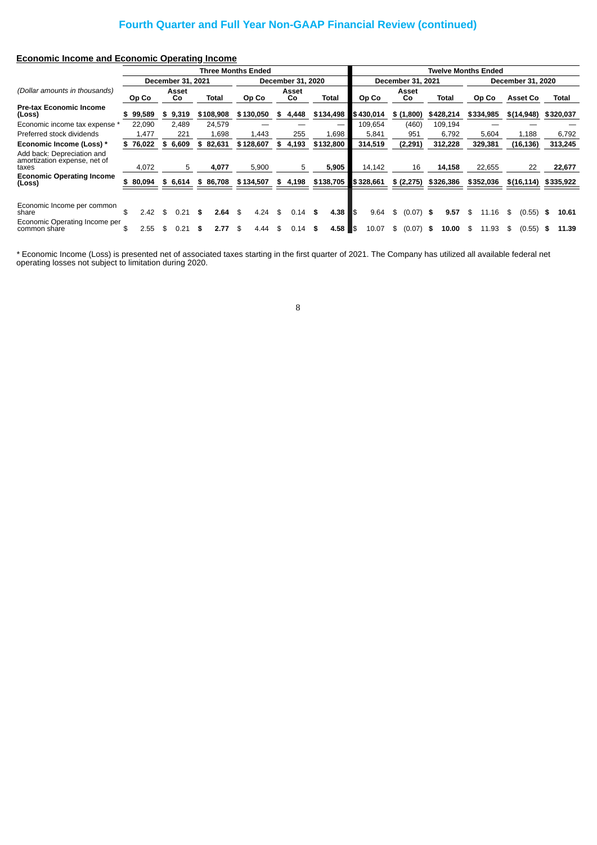# **Fourth Quarter and Full Year Non-GAAP Financial Review (continued)**

# **Economic Income and Economic Operating Income**

|                                                                     |              |    |                   |    | Three Months Ended |            |    |                   |                       |     |           |                   |      | <b>Twelve Months Ended</b> |    |           |    |                   |    |           |
|---------------------------------------------------------------------|--------------|----|-------------------|----|--------------------|------------|----|-------------------|-----------------------|-----|-----------|-------------------|------|----------------------------|----|-----------|----|-------------------|----|-----------|
|                                                                     |              |    | December 31, 2021 |    |                    |            |    | December 31, 2020 |                       |     |           | December 31, 2021 |      |                            |    |           |    | December 31, 2020 |    |           |
| (Dollar amounts in thousands)                                       | Op Co        |    | Asset<br>Co       |    | Total              | Op Co      |    | Asset<br>Co       | <b>Total</b>          |     | Op Co     | Asset<br>Co       |      | Total                      |    | Op Co     |    | <b>Asset Co</b>   |    | Total     |
| <b>Pre-tax Economic Income</b><br>(Loss)                            | 99,589       | S  | 9,319             |    | \$108,908          | \$130.050  | S. | 4.448             | \$134,498             |     | \$430.014 | \$(1,800)         |      | \$428,214                  |    | \$334,985 |    | \$(14, 948)       |    | \$320,037 |
| Economic income tax expense *                                       | 22,090       |    | 2.489             |    | 24.579             |            |    |                   |                       |     | 109,654   | (460)             |      | 109,194                    |    |           |    |                   |    |           |
| Preferred stock dividends                                           | 1,477        |    | 221               |    | 1,698              | 1.443      |    | 255               | 1,698                 |     | 5,841     | 951               |      | 6.792                      |    | 5,604     |    | 1,188             |    | 6,792     |
| Economic Income (Loss) *                                            | \$<br>76,022 | \$ | 6,609             | \$ | 82,631             | \$128,607  |    | 4,193             | \$132,800             |     | 314,519   | (2, 291)          |      | 312,228                    |    | 329,381   |    | (16, 136)         |    | 313,245   |
| Add back: Depreciation and<br>amortization expense, net of<br>taxes | 4,072        |    | 5                 |    | 4,077              | 5,900      |    | 5                 | 5,905                 |     | 14,142    | 16                |      | 14,158                     |    | 22,655    |    | 22                |    | 22,677    |
| <b>Economic Operating Income</b><br>(Loss)                          | 80,094       |    | \$ 6,614          |    | \$86,708           | \$134,507  |    | \$4,198           | $$138,705$ $$328,661$ |     |           | \$(2,275)         |      | \$326,386                  |    | \$352,036 |    | \$(16, 114)       |    | \$335,922 |
|                                                                     |              |    |                   |    |                    |            |    |                   |                       |     |           |                   |      |                            |    |           |    |                   |    |           |
| Economic Income per common<br>share                                 | \$<br>2.42   | \$ |                   |    | 2.64               | \$<br>4.24 | \$ | 0.14              | 4.38                  | l\$ | 9.64      | \$<br>(0.07)      | - \$ | 9.57                       | \$ | 11.16     | \$ | (0.55)            | \$ | 10.61     |
| Economic Operating Income per<br>common share                       | \$<br>2.55   | S  |                   | S  | 2.77               | \$<br>4.44 | \$ | 0.14              |                       |     | 10.07     | \$<br>(0.07)      | - \$ | 10.00                      | S  | 11.93     | S  | (0.55)            | S  | 11.39     |

*\** Economic Income (Loss) is presented net of associated taxes starting in the first quarter of 2021. The Company has utilized all available federal net operating losses not subject to limitation during 2020.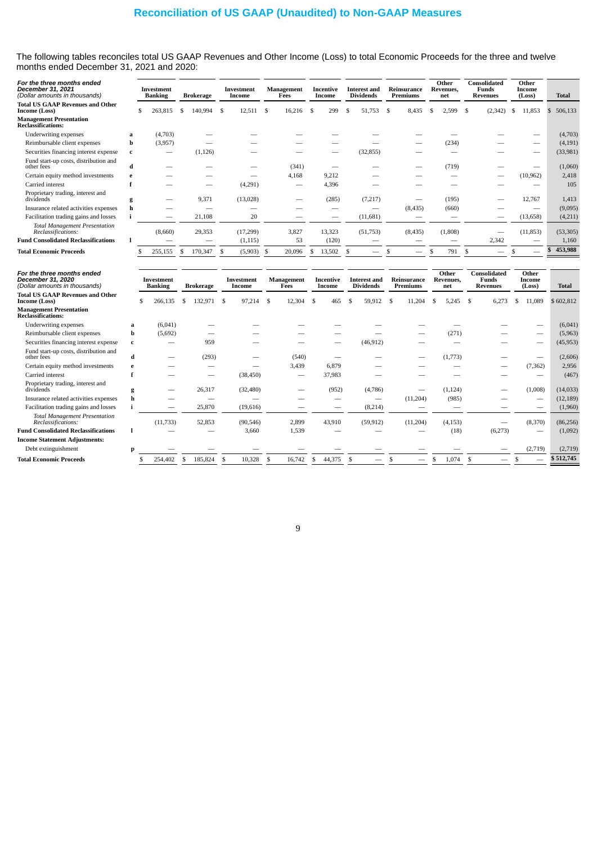# **Reconciliation of US GAAP (Unaudited) to Non-GAAP Measures**

The following tables reconciles total US GAAP Revenues and Other Income (Loss) to total Economic Proceeds for the three and twelve months ended December 31, 2021 and 2020:

| For the three months ended<br>December 31, 2021<br>(Dollar amounts in thousands) |   | <b>Investment</b><br><b>Banking</b> |    | Brokerage |    | Investment<br>Income |    | Management<br>Fees |    | Incentive<br>Income |   | <b>Interest and</b><br>Dividends |    | Reinsurance<br>Premiums | Other<br>Revenues,<br>net |    | Consolidated<br>Funds<br><b>Revenues</b> |   | Other<br>Income<br>(Loss) | <b>Total</b> |          |
|----------------------------------------------------------------------------------|---|-------------------------------------|----|-----------|----|----------------------|----|--------------------|----|---------------------|---|----------------------------------|----|-------------------------|---------------------------|----|------------------------------------------|---|---------------------------|--------------|----------|
| <b>Total US GAAP Revenues and Other</b><br>Income (Loss)                         |   | 263,815<br>\$                       | .S | 140,994   | -S | 12,511               | -S | 16,216             | \$ | 299                 | S | 51,753                           | -S | 8,435                   | \$<br>2,599               | -S | (2, 342)                                 | S | 11,853                    | 506,133      |          |
| <b>Management Presentation</b><br><b>Reclassifications:</b>                      |   |                                     |    |           |    |                      |    |                    |    |                     |   |                                  |    |                         |                           |    |                                          |   |                           |              |          |
| Underwriting expenses                                                            | a | (4,703)                             |    |           |    |                      |    |                    |    |                     |   |                                  |    |                         |                           |    |                                          |   |                           |              | (4,703)  |
| Reimbursable client expenses                                                     | b | (3,957)                             |    |           |    |                      |    |                    |    |                     |   |                                  |    |                         | (234)                     |    |                                          |   |                           |              | (4, 191) |
| Securities financing interest expense                                            | c |                                     |    | (1, 126)  |    |                      |    |                    |    |                     |   | (32, 855)                        |    |                         |                           |    |                                          |   |                           | (33,981)     |          |
| Fund start-up costs, distribution and<br>other fees                              | d |                                     |    |           |    |                      |    | (341)              |    |                     |   |                                  |    |                         | (719)                     |    |                                          |   |                           |              | (1,060)  |
| Certain equity method investments                                                |   |                                     |    |           |    |                      |    | 4,168              |    | 9,212               |   |                                  |    |                         |                           |    |                                          |   | (10, 962)                 |              | 2,418    |
| Carried interest                                                                 |   |                                     |    |           |    | (4,291)              |    |                    |    | 4,396               |   |                                  |    |                         |                           |    |                                          |   |                           |              | 105      |
| Proprietary trading, interest and<br>dividends                                   | g |                                     |    | 9,371     |    | (13,028)             |    |                    |    | (285)               |   | (7,217)                          |    |                         | (195)                     |    |                                          |   | 12,767                    |              | 1,413    |
| Insurance related activities expenses                                            |   |                                     |    |           |    |                      |    |                    |    |                     |   | $\overline{\phantom{a}}$         |    | (8, 435)                | (660)                     |    |                                          |   | -                         |              | (9,095)  |
| Facilitation trading gains and losses                                            |   | -                                   |    | 21,108    |    | 20                   |    |                    |    | -                   |   | (11, 681)                        |    |                         |                           |    | -                                        |   | (13, 658)                 |              | (4,211)  |
| <b>Total Management Presentation</b><br>Reclassifications:                       |   | (8,660)                             |    | 29,353    |    | (17,299)             |    | 3,827              |    | 13,323              |   | (51,753)                         |    | (8, 435)                | (1,808)                   |    | _                                        |   | (11, 853)                 | (53, 305)    |          |
| <b>Fund Consolidated Reclassifications</b>                                       |   | $\overline{\phantom{a}}$            |    |           |    | (1, 115)             |    | 53                 |    | (120)               |   | $\overline{\phantom{a}}$         |    |                         | _                         |    | 2,342                                    |   |                           |              | 1,160    |
| <b>Total Economic Proceeds</b>                                                   |   | 255,155                             |    | 170,347   | S. | (5,903)              | -S | 20,096             | ъ  | 13,502              |   |                                  |    | _                       | 791                       |    |                                          |   |                           | 453,988      |          |

| For the three months ended<br>December 31, 2020<br>(Dollar amounts in thousands) |   | Investment<br><b>Banking</b> |   | <b>Brokerage</b> |     | Investment<br>Income | Management<br>Fees |    | Incentive<br>Income |    | <b>Interest and</b><br><b>Dividends</b> |    | Reinsurance<br>Premiums |     | Other<br>Revenues.<br>net |    | Consolidated<br><b>Funds</b><br><b>Revenues</b> | Other<br>Income<br>(Loss) | <b>Total</b> |
|----------------------------------------------------------------------------------|---|------------------------------|---|------------------|-----|----------------------|--------------------|----|---------------------|----|-----------------------------------------|----|-------------------------|-----|---------------------------|----|-------------------------------------------------|---------------------------|--------------|
| <b>Total US GAAP Revenues and Other</b><br>Income (Loss)                         |   | 266,135                      | S | 132,971          | -S  | 97,214               | \$<br>12,304       | \$ | 465                 |    | 59,912                                  | -S | 11,204                  | \$. | 5,245                     | -S | 6,273                                           | 11,089                    | \$602,812    |
| <b>Management Presentation</b><br><b>Reclassifications:</b>                      |   |                              |   |                  |     |                      |                    |    |                     |    |                                         |    |                         |     |                           |    |                                                 |                           |              |
| <b>Underwriting expenses</b>                                                     | a | (6,041)                      |   |                  |     |                      |                    |    |                     |    |                                         |    |                         |     |                           |    |                                                 |                           | (6,041)      |
| Reimbursable client expenses                                                     | b | (5,692)                      |   |                  |     |                      |                    |    |                     |    |                                         |    |                         |     | (271)                     |    |                                                 |                           | (5,963)      |
| Securities financing interest expense                                            | c |                              |   | 959              |     |                      |                    |    |                     |    | (46, 912)                               |    |                         |     |                           |    |                                                 |                           | (45, 953)    |
| Fund start-up costs, distribution and<br>other fees                              | d |                              |   | (293)            |     |                      | (540)              |    |                     |    |                                         |    |                         |     | (1,773)                   |    |                                                 |                           | (2,606)      |
| Certain equity method investments                                                |   |                              |   |                  |     |                      | 3,439              |    | 6,879               |    |                                         |    |                         |     |                           |    |                                                 | (7, 362)                  | 2,956        |
| Carried interest                                                                 |   |                              |   | -                |     | (38, 450)            |                    |    | 37,983              |    |                                         |    |                         |     |                           |    |                                                 |                           | (467)        |
| Proprietary trading, interest and<br>dividends                                   | g |                              |   | 26,317           |     | (32, 480)            |                    |    | (952)               |    | (4,786)                                 |    |                         |     | (1, 124)                  |    |                                                 | (1,008)                   | (14, 033)    |
| Insurance related activities expenses                                            |   |                              |   |                  |     |                      |                    |    |                     |    | --                                      |    | (11,204)                |     | (985)                     |    |                                                 |                           | (12, 189)    |
| Facilitation trading gains and losses                                            |   | -                            |   | 25,870           |     | (19,616)             |                    |    | -                   |    | (8,214)                                 |    |                         |     |                           |    |                                                 |                           | (1,960)      |
| <b>Total Management Presentation</b><br>Reclassifications:                       |   | (11, 733)                    |   | 52,853           |     | (90, 546)            | 2,899              |    | 43,910              |    | (59, 912)                               |    | (11, 204)               |     | (4, 153)                  |    |                                                 | (8,370)                   | (86, 256)    |
| <b>Fund Consolidated Reclassifications</b>                                       |   |                              |   |                  |     | 3,660                | 1,539              |    |                     |    |                                         |    |                         |     | (18)                      |    | (6,273)                                         |                           | (1,092)      |
| <b>Income Statement Adjustments:</b>                                             |   |                              |   |                  |     |                      |                    |    |                     |    |                                         |    |                         |     |                           |    |                                                 |                           |              |
| Debt extinguishment                                                              | n |                              |   |                  |     |                      |                    |    |                     |    |                                         |    |                         |     |                           |    |                                                 | (2,719)                   | (2,719)      |
| <b>Total Economic Proceeds</b>                                                   |   | 254,402                      |   | 185,824          | - 5 | 10,328               | 16,742             | S  | 44,375              | .S |                                         |    |                         |     | 1,074                     | -S |                                                 |                           | \$512,745    |
|                                                                                  |   |                              |   |                  |     |                      |                    |    |                     |    |                                         |    |                         |     |                           |    |                                                 |                           |              |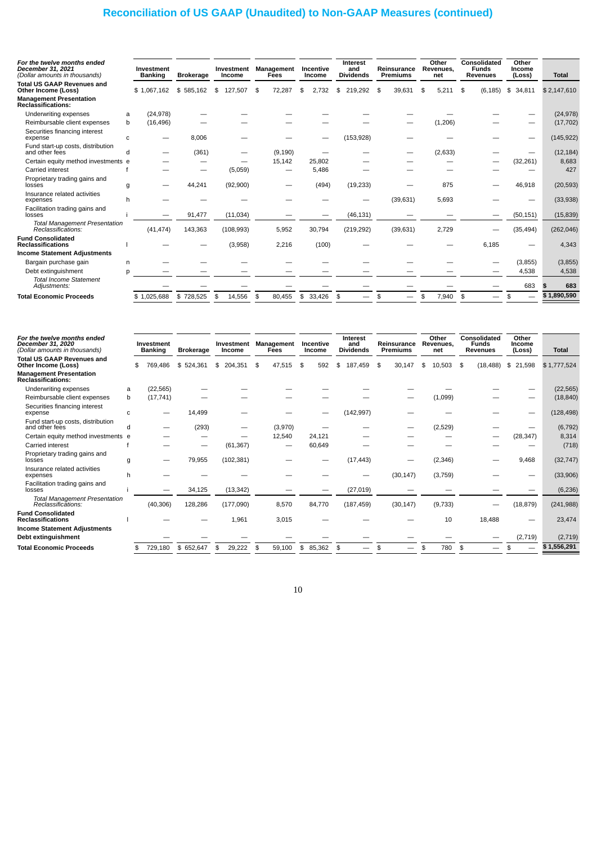# **Reconciliation of US GAAP (Unaudited) to Non-GAAP Measures (continued)**

| For the twelve months ended<br>December 31, 2021<br>(Dollar amounts in thousands) |   | Investment<br><b>Banking</b> | <b>Brokerage</b> | Investment<br>Income | Management<br>Fees | Incentive<br>Income |     | <b>Interest</b><br>and<br><b>Dividends</b> | Reinsurance<br><b>Premiums</b> | Other<br>Revenues.<br>net | Consolidated<br><b>Funds</b><br><b>Revenues</b> | Other<br>Income<br>(Loss) | <b>Total</b> |
|-----------------------------------------------------------------------------------|---|------------------------------|------------------|----------------------|--------------------|---------------------|-----|--------------------------------------------|--------------------------------|---------------------------|-------------------------------------------------|---------------------------|--------------|
| <b>Total US GAAP Revenues and</b><br>Other Income (Loss)                          |   | \$1,067,162                  | \$585.162        | \$<br>127.507        | \$<br>72,287       | \$<br>2.732         | \$  | 219.292                                    | \$<br>39.631                   | \$<br>5.211               | \$<br>(6, 185)                                  | \$<br>34,811              | \$2,147,610  |
| <b>Management Presentation</b><br>Reclassifications:                              |   |                              |                  |                      |                    |                     |     |                                            |                                |                           |                                                 |                           |              |
| Underwriting expenses                                                             | a | (24, 978)                    |                  |                      |                    |                     |     |                                            |                                |                           |                                                 |                           | (24, 978)    |
| Reimbursable client expenses                                                      | b | (16, 496)                    |                  |                      |                    |                     |     |                                            |                                | (1,206)                   |                                                 |                           | (17, 702)    |
| Securities financing interest<br>expense                                          | C |                              | 8.006            |                      |                    |                     |     | (153, 928)                                 |                                |                           |                                                 |                           | (145, 922)   |
| Fund start-up costs, distribution<br>and other fees                               |   |                              | (361)            |                      | (9, 190)           |                     |     |                                            |                                | (2,633)                   |                                                 |                           | (12, 184)    |
| Certain equity method investments e                                               |   |                              |                  |                      | 15,142             | 25,802              |     |                                            |                                |                           |                                                 | (32, 261)                 | 8,683        |
| Carried interest                                                                  |   |                              | –                | (5,059)              | -                  | 5,486               |     |                                            |                                |                           |                                                 |                           | 427          |
| Proprietary trading gains and<br>losses                                           | g |                              | 44,241           | (92,900)             |                    | (494)               |     | (19, 233)                                  |                                | 875                       |                                                 | 46,918                    | (20, 593)    |
| Insurance related activities<br>expenses                                          | h |                              |                  |                      |                    |                     |     |                                            | (39, 631)                      | 5.693                     |                                                 |                           | (33,938)     |
| Facilitation trading gains and<br>losses                                          |   |                              | 91,477           | (11, 034)            |                    |                     |     | (46, 131)                                  |                                |                           |                                                 | (50, 151)                 | (15, 839)    |
| <b>Total Management Presentation</b><br>Reclassifications:                        |   | (41, 474)                    | 143,363          | (108, 993)           | 5,952              | 30,794              |     | (219, 292)                                 | (39, 631)                      | 2,729                     |                                                 | (35, 494)                 | (262, 046)   |
| <b>Fund Consolidated</b><br><b>Reclassifications</b>                              |   |                              |                  | (3,958)              | 2,216              | (100)               |     |                                            |                                |                           | 6.185                                           |                           | 4,343        |
| <b>Income Statement Adjustments</b>                                               |   |                              |                  |                      |                    |                     |     |                                            |                                |                           |                                                 |                           |              |
| Bargain purchase gain                                                             | n |                              |                  |                      |                    |                     |     |                                            |                                |                           |                                                 | (3,855)                   | (3, 855)     |
| Debt extinguishment                                                               | n |                              |                  |                      |                    |                     |     |                                            |                                |                           |                                                 | 4,538                     | 4,538        |
| <b>Total Income Statement</b><br>Adjustments:                                     |   |                              |                  |                      |                    |                     |     |                                            |                                |                           |                                                 | 683                       | 683          |
| <b>Total Economic Proceeds</b>                                                    |   | \$1.025.688                  | \$728,525        | \$<br>14,556         | \$<br>80,455       | \$<br>33,426        | -\$ |                                            | \$<br>—                        | \$<br>7.940               | \$<br>-                                         | \$                        | \$1,890,590  |
|                                                                                   |   |                              |                  |                      |                    |                     |     |                                            |                                |                           |                                                 |                           |              |

| For the twelve months ended<br>December 31, 2020<br>(Dollar amounts in thousands) |   | Investment<br><b>Banking</b> | <b>Brokerage</b> | Investment<br>Income | Management<br>Fees | Incentive<br>Income | <b>Interest</b><br>and<br><b>Dividends</b> | Reinsurance<br>Premiums |    | Other<br>Revenues,<br>net | Consolidated<br><b>Funds</b><br><b>Revenues</b> | Other<br>Income<br>(Loss) | <b>Total</b> |
|-----------------------------------------------------------------------------------|---|------------------------------|------------------|----------------------|--------------------|---------------------|--------------------------------------------|-------------------------|----|---------------------------|-------------------------------------------------|---------------------------|--------------|
| <b>Total US GAAP Revenues and</b><br>Other Income (Loss)                          |   | 769,486                      | \$524.361        | \$<br>204.351        | \$<br>47.515       | \$<br>592           | 187.459                                    | \$<br>30,147            | £. | 10.503                    | \$<br>(18, 488)                                 | \$<br>21,598              | \$1,777,524  |
| <b>Management Presentation</b><br>Reclassifications:                              |   |                              |                  |                      |                    |                     |                                            |                         |    |                           |                                                 |                           |              |
| Underwriting expenses                                                             | a | (22, 565)                    |                  |                      |                    |                     |                                            |                         |    |                           |                                                 |                           | (22, 565)    |
| Reimbursable client expenses                                                      | b | (17, 741)                    |                  |                      |                    |                     |                                            |                         |    | (1,099)                   |                                                 |                           | (18, 840)    |
| Securities financing interest<br>expense                                          | c |                              | 14,499           |                      |                    |                     | (142, 997)                                 |                         |    |                           |                                                 |                           | (128, 498)   |
| Fund start-up costs, distribution<br>and other fees                               |   |                              | (293)            |                      | (3,970)            |                     |                                            |                         |    | (2,529)                   |                                                 |                           | (6, 792)     |
| Certain equity method investments e                                               |   |                              |                  |                      | 12,540             | 24,121              |                                            |                         |    |                           |                                                 | (28, 347)                 | 8,314        |
| Carried interest                                                                  |   |                              | –                | (61, 367)            | -                  | 60,649              |                                            |                         |    |                           |                                                 |                           | (718)        |
| Proprietary trading gains and<br>losses                                           | a |                              | 79,955           | (102, 381)           |                    |                     | (17, 443)                                  |                         |    | (2, 346)                  |                                                 | 9,468                     | (32, 747)    |
| Insurance related activities<br>expenses                                          | h |                              |                  |                      |                    |                     |                                            | (30, 147)               |    | (3,759)                   |                                                 |                           | (33,906)     |
| Facilitation trading gains and<br>losses                                          |   |                              | 34,125           | (13, 342)            |                    |                     | (27, 019)                                  |                         |    |                           |                                                 |                           | (6, 236)     |
| <b>Total Management Presentation</b><br>Reclassifications:                        |   | (40, 306)                    | 128,286          | (177,090)            | 8,570              | 84,770              | (187, 459)                                 | (30, 147)               |    | (9,733)                   |                                                 | (18, 879)                 | (241, 988)   |
| <b>Fund Consolidated</b><br><b>Reclassifications</b>                              |   |                              |                  | 1,961                | 3,015              |                     |                                            |                         |    | 10                        | 18,488                                          |                           | 23,474       |
| <b>Income Statement Adjustments</b>                                               |   |                              |                  |                      |                    |                     |                                            |                         |    |                           |                                                 |                           |              |
| Debt extinguishment                                                               |   |                              |                  |                      |                    |                     |                                            |                         |    |                           |                                                 | (2,719)                   | (2,719)      |
| <b>Total Economic Proceeds</b>                                                    |   | 729,180                      | \$652,647        | \$<br>29,222         | \$<br>59,100       | \$<br>85,362        | \$                                         |                         |    | 780                       | \$                                              |                           | \$1,556,291  |
|                                                                                   |   |                              |                  |                      |                    |                     |                                            |                         |    |                           |                                                 |                           |              |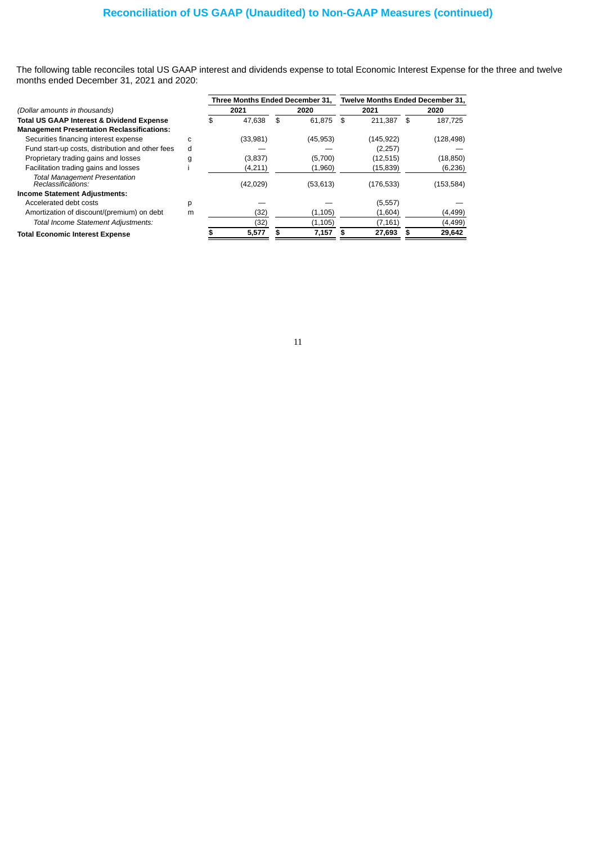The following table reconciles total US GAAP interest and dividends expense to total Economic Interest Expense for the three and twelve months ended December 31, 2021 and 2020:

|                                                            |    |    | Three Months Ended December 31. |              | <b>Twelve Months Ended December 31.</b> |               |
|------------------------------------------------------------|----|----|---------------------------------|--------------|-----------------------------------------|---------------|
| (Dollar amounts in thousands)                              |    |    | 2021                            | 2020         | 2021                                    | 2020          |
| <b>Total US GAAP Interest &amp; Dividend Expense</b>       |    | £. | 47.638                          | \$<br>61.875 | 211.387<br>\$                           | \$<br>187.725 |
| <b>Management Presentation Reclassifications:</b>          |    |    |                                 |              |                                         |               |
| Securities financing interest expense                      | C. |    | (33,981)                        | (45, 953)    | (145, 922)                              | (128, 498)    |
| Fund start-up costs, distribution and other fees           | d  |    |                                 |              | (2, 257)                                |               |
| Proprietary trading gains and losses                       | g  |    | (3,837)                         | (5,700)      | (12, 515)                               | (18, 850)     |
| Facilitation trading gains and losses                      |    |    | (4,211)                         | (1,960)      | (15, 839)                               | (6, 236)      |
| <b>Total Management Presentation</b><br>Reclassifications: |    |    | (42, 029)                       | (53, 613)    | (176, 533)                              | (153, 584)    |
| <b>Income Statement Adjustments:</b>                       |    |    |                                 |              |                                         |               |
| Accelerated debt costs                                     | p  |    |                                 |              | (5, 557)                                |               |
| Amortization of discount/(premium) on debt                 | m  |    | (32)                            | (1,105)      | (1,604)                                 | (4, 499)      |
| Total Income Statement Adjustments:                        |    |    | (32)                            | (1,105)      | (7, 161)                                | (4, 499)      |
| <b>Total Economic Interest Expense</b>                     |    |    | 5,577                           | 7,157        | 27,693                                  | 29,642        |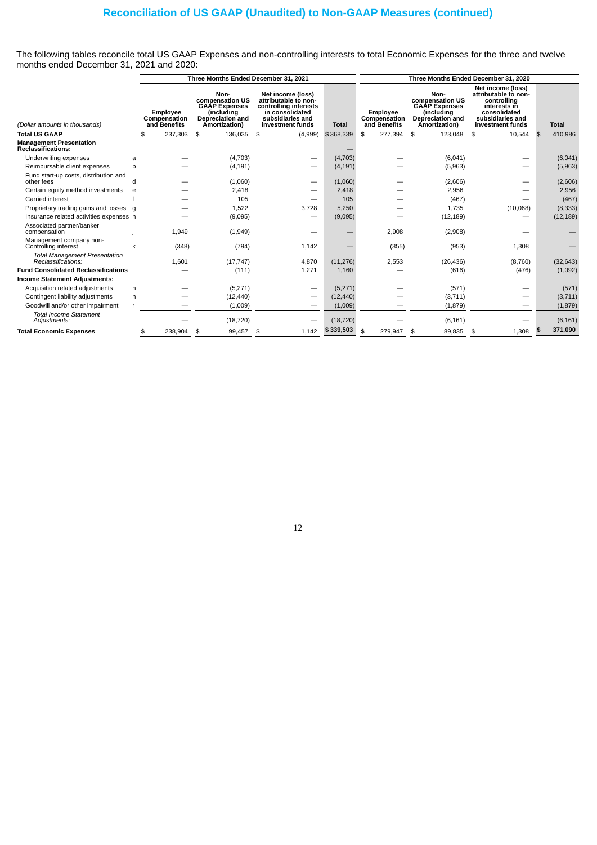The following tables reconcile total US GAAP Expenses and non-controlling interests to total Economic Expenses for the three and twelve months ended December 31, 2021 and 2020:

|                                                            |   |                                          | Three Months Ended December 31, 2021                                                               |                                                                                                                               | Three Months Ended December 31, 2020 |                                                 |                                                                                                    |                                                                                                                                  |                |              |  |  |  |
|------------------------------------------------------------|---|------------------------------------------|----------------------------------------------------------------------------------------------------|-------------------------------------------------------------------------------------------------------------------------------|--------------------------------------|-------------------------------------------------|----------------------------------------------------------------------------------------------------|----------------------------------------------------------------------------------------------------------------------------------|----------------|--------------|--|--|--|
| (Dollar amounts in thousands)                              |   | Employee<br>Compensation<br>and Benefits | Non-<br>compensation US<br><b>GAAP Expenses</b><br>(includina<br>Depreciation and<br>Amortization) | Net income (loss)<br>attributable to non-<br>controlling interests<br>in consolidated<br>subsidiaries and<br>investment funds | <b>Total</b>                         | <b>Employee</b><br>Compensation<br>and Benefits | Non-<br>compensation US<br><b>GAAP Expenses</b><br>(including<br>Depreciation and<br>Amortization) | Net income (loss)<br>attributable to non-<br>controlling<br>interests in<br>consolidated<br>subsidiaries and<br>investment funds |                | <b>Total</b> |  |  |  |
| <b>Total US GAAP</b>                                       |   | 237,303<br>\$.                           | \$<br>136.035                                                                                      | \$<br>(4,999)                                                                                                                 | \$368,339                            | 277,394<br>\$                                   | 123,048<br>\$                                                                                      | \$<br>10,544                                                                                                                     | $\mathfrak{L}$ | 410,986      |  |  |  |
| <b>Management Presentation</b><br>Reclassifications:       |   |                                          |                                                                                                    |                                                                                                                               |                                      |                                                 |                                                                                                    |                                                                                                                                  |                |              |  |  |  |
| Underwriting expenses                                      | a |                                          | (4,703)                                                                                            |                                                                                                                               | (4,703)                              |                                                 | (6,041)                                                                                            |                                                                                                                                  |                | (6,041)      |  |  |  |
| Reimbursable client expenses                               | h |                                          | (4, 191)                                                                                           |                                                                                                                               | (4, 191)                             |                                                 | (5,963)                                                                                            |                                                                                                                                  |                | (5,963)      |  |  |  |
| Fund start-up costs, distribution and<br>other fees        | d |                                          | (1,060)                                                                                            | --                                                                                                                            | (1,060)                              |                                                 | (2,606)                                                                                            | —                                                                                                                                |                | (2,606)      |  |  |  |
| Certain equity method investments                          | e |                                          | 2,418                                                                                              |                                                                                                                               | 2,418                                |                                                 | 2,956                                                                                              |                                                                                                                                  |                | 2,956        |  |  |  |
| <b>Carried</b> interest                                    |   |                                          | 105                                                                                                |                                                                                                                               | 105                                  |                                                 | (467)                                                                                              |                                                                                                                                  |                | (467)        |  |  |  |
| Proprietary trading gains and losses                       | q |                                          | 1,522                                                                                              | 3,728                                                                                                                         | 5,250                                |                                                 | 1,735                                                                                              | (10,068)                                                                                                                         |                | (8, 333)     |  |  |  |
| Insurance related activities expenses h                    |   |                                          | (9,095)                                                                                            |                                                                                                                               | (9,095)                              |                                                 | (12, 189)                                                                                          |                                                                                                                                  |                | (12, 189)    |  |  |  |
| Associated partner/banker<br>compensation                  |   | 1,949                                    | (1,949)                                                                                            |                                                                                                                               |                                      | 2,908                                           | (2,908)                                                                                            |                                                                                                                                  |                |              |  |  |  |
| Management company non-<br>Controlling interest            |   | (348)                                    | (794)                                                                                              | 1,142                                                                                                                         |                                      | (355)                                           | (953)                                                                                              | 1,308                                                                                                                            |                |              |  |  |  |
| <b>Total Management Presentation</b><br>Reclassifications: |   | 1,601                                    | (17, 747)                                                                                          | 4,870                                                                                                                         | (11, 276)                            | 2,553                                           | (26, 436)                                                                                          | (8,760)                                                                                                                          |                | (32, 643)    |  |  |  |
| <b>Fund Consolidated Reclassifications</b>                 |   |                                          | (111)                                                                                              | 1,271                                                                                                                         | 1,160                                |                                                 | (616)                                                                                              | (476)                                                                                                                            |                | (1,092)      |  |  |  |
| Income Statement Adjustments:                              |   |                                          |                                                                                                    |                                                                                                                               |                                      |                                                 |                                                                                                    |                                                                                                                                  |                |              |  |  |  |
| Acquisition related adjustments                            | n |                                          | (5,271)                                                                                            |                                                                                                                               | (5,271)                              |                                                 | (571)                                                                                              |                                                                                                                                  |                | (571)        |  |  |  |
| Contingent liability adjustments                           | n |                                          | (12, 440)                                                                                          |                                                                                                                               | (12, 440)                            |                                                 | (3,711)                                                                                            | —                                                                                                                                |                | (3, 711)     |  |  |  |
| Goodwill and/or other impairment                           |   |                                          | (1,009)                                                                                            |                                                                                                                               | (1,009)                              |                                                 | (1,879)                                                                                            | –                                                                                                                                |                | (1, 879)     |  |  |  |
| <b>Total Income Statement</b><br>Adjustments:              |   |                                          | (18, 720)                                                                                          |                                                                                                                               | (18, 720)                            |                                                 | (6, 161)                                                                                           |                                                                                                                                  |                | (6, 161)     |  |  |  |
| <b>Total Economic Expenses</b>                             |   | 238,904<br>\$                            | 99,457<br>\$                                                                                       | 1,142<br>\$                                                                                                                   | \$339,503                            | 279,947<br>\$                                   | 89,835<br>\$                                                                                       | 1,308<br>\$                                                                                                                      |                | 371,090      |  |  |  |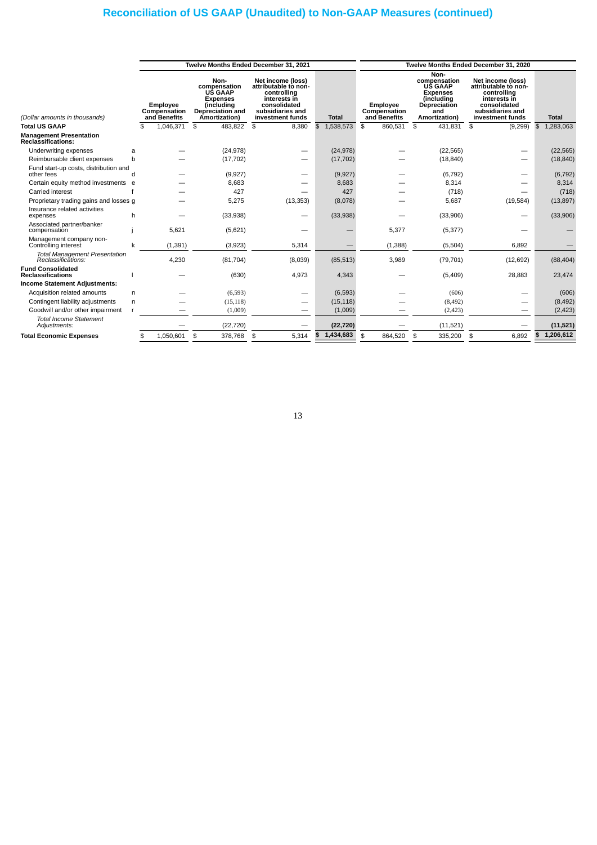# **Reconciliation of US GAAP (Unaudited) to Non-GAAP Measures (continued)**

|                                                            |                                                 |                 |                                                                                                                                                                                                                                                   | Twelve Months Ended December 31, 2021 |                 | Twelve Months Ended December 31, 2020    |                                                                                                                                |                                                                                                                                  |                 |  |  |  |  |
|------------------------------------------------------------|-------------------------------------------------|-----------------|---------------------------------------------------------------------------------------------------------------------------------------------------------------------------------------------------------------------------------------------------|---------------------------------------|-----------------|------------------------------------------|--------------------------------------------------------------------------------------------------------------------------------|----------------------------------------------------------------------------------------------------------------------------------|-----------------|--|--|--|--|
| (Dollar amounts in thousands)                              | <b>Employee</b><br>Compensation<br>and Benefits |                 | Non-<br>Net income (loss)<br>compensation<br>attributable to non-<br>UŚ GAAP<br>controlling<br>interests in<br><b>Expenses</b><br>consolidated<br><i>l</i> including<br>subsidiaries and<br>Depreciation and<br>Amortization)<br>investment funds |                                       | <b>Total</b>    | Employee<br>Compensation<br>and Benefits | Non-<br>compensation<br><b>US GAAP</b><br><b>Expenses</b><br><i>l</i> includina<br><b>Depreciation</b><br>and<br>Amortization) | Net income (loss)<br>attributable to non-<br>controlling<br>interests in<br>consolidated<br>subsidiaries and<br>investment funds | <b>Total</b>    |  |  |  |  |
| <b>Total US GAAP</b>                                       |                                                 | 1,046,371<br>\$ | \$<br>483,822                                                                                                                                                                                                                                     | 8,380<br>\$                           | 1,538,573<br>\$ | 860,531<br>\$                            | 431,831 \$<br>\$                                                                                                               | (9, 299)                                                                                                                         | \$<br>1,283,063 |  |  |  |  |
| <b>Management Presentation</b><br>Reclassifications:       |                                                 |                 |                                                                                                                                                                                                                                                   |                                       |                 |                                          |                                                                                                                                |                                                                                                                                  |                 |  |  |  |  |
| Underwriting expenses                                      | a                                               |                 | (24, 978)                                                                                                                                                                                                                                         | —                                     | (24, 978)       |                                          | (22, 565)                                                                                                                      |                                                                                                                                  | (22, 565)       |  |  |  |  |
| Reimbursable client expenses                               | h                                               |                 | (17, 702)                                                                                                                                                                                                                                         |                                       | (17, 702)       |                                          | (18, 840)                                                                                                                      |                                                                                                                                  | (18, 840)       |  |  |  |  |
| Fund start-up costs, distribution and<br>other fees        | d                                               |                 | (9,927)                                                                                                                                                                                                                                           | $\overline{\phantom{0}}$              | (9, 927)        |                                          | (6, 792)                                                                                                                       |                                                                                                                                  | (6, 792)        |  |  |  |  |
| Certain equity method investments e                        |                                                 |                 | 8,683                                                                                                                                                                                                                                             |                                       | 8,683           |                                          | 8,314                                                                                                                          |                                                                                                                                  | 8,314           |  |  |  |  |
| Carried interest                                           |                                                 |                 | 427                                                                                                                                                                                                                                               |                                       | 427             |                                          | (718)                                                                                                                          |                                                                                                                                  | (718)           |  |  |  |  |
| Proprietary trading gains and losses g                     |                                                 |                 | 5,275                                                                                                                                                                                                                                             | (13, 353)                             | (8,078)         |                                          | 5,687                                                                                                                          | (19, 584)                                                                                                                        | (13, 897)       |  |  |  |  |
| Insurance related activities<br>expenses                   | h                                               |                 | (33,938)                                                                                                                                                                                                                                          |                                       | (33,938)        |                                          | (33,906)                                                                                                                       |                                                                                                                                  | (33,906)        |  |  |  |  |
| Associated partner/banker<br>compensation                  |                                                 | 5,621           | (5,621)                                                                                                                                                                                                                                           |                                       |                 | 5,377                                    | (5, 377)                                                                                                                       |                                                                                                                                  |                 |  |  |  |  |
| Management company non-<br>Controlling interest            | k                                               | (1, 391)        | (3,923)                                                                                                                                                                                                                                           | 5,314                                 |                 | (1,388)                                  | (5,504)                                                                                                                        | 6.892                                                                                                                            |                 |  |  |  |  |
| <b>Total Management Presentation</b><br>Reclassifications: |                                                 | 4,230           | (81, 704)                                                                                                                                                                                                                                         | (8,039)                               | (85, 513)       | 3,989                                    | (79, 701)                                                                                                                      | (12, 692)                                                                                                                        | (88, 404)       |  |  |  |  |
| <b>Fund Consolidated</b><br><b>Reclassifications</b>       |                                                 |                 | (630)                                                                                                                                                                                                                                             | 4,973                                 | 4,343           |                                          | (5,409)                                                                                                                        | 28,883                                                                                                                           | 23,474          |  |  |  |  |
| <b>Income Statement Adjustments:</b>                       |                                                 |                 |                                                                                                                                                                                                                                                   |                                       |                 |                                          |                                                                                                                                |                                                                                                                                  |                 |  |  |  |  |
| Acquisition related amounts                                | n.                                              |                 | (6, 593)                                                                                                                                                                                                                                          | -                                     | (6,593)         |                                          | (606)                                                                                                                          |                                                                                                                                  | (606)           |  |  |  |  |
| Contingent liability adjustments                           | n                                               |                 | (15, 118)                                                                                                                                                                                                                                         | -                                     | (15, 118)       |                                          | (8, 492)                                                                                                                       |                                                                                                                                  | (8, 492)        |  |  |  |  |
| Goodwill and/or other impairment                           |                                                 |                 | (1,009)                                                                                                                                                                                                                                           |                                       | (1,009)         |                                          | (2, 423)                                                                                                                       |                                                                                                                                  | (2, 423)        |  |  |  |  |
| <b>Total Income Statement</b><br>Adjustments:              |                                                 |                 | (22, 720)                                                                                                                                                                                                                                         |                                       | (22, 720)       |                                          | (11, 521)                                                                                                                      |                                                                                                                                  | (11, 521)       |  |  |  |  |
| <b>Total Economic Expenses</b>                             |                                                 | 1,050,601<br>\$ | 378,768<br>\$                                                                                                                                                                                                                                     | \$<br>5,314                           | 1,434,683<br>S  | \$<br>864,520                            | 335,200<br>\$                                                                                                                  | 6,892<br>\$                                                                                                                      | 1,206,612<br>\$ |  |  |  |  |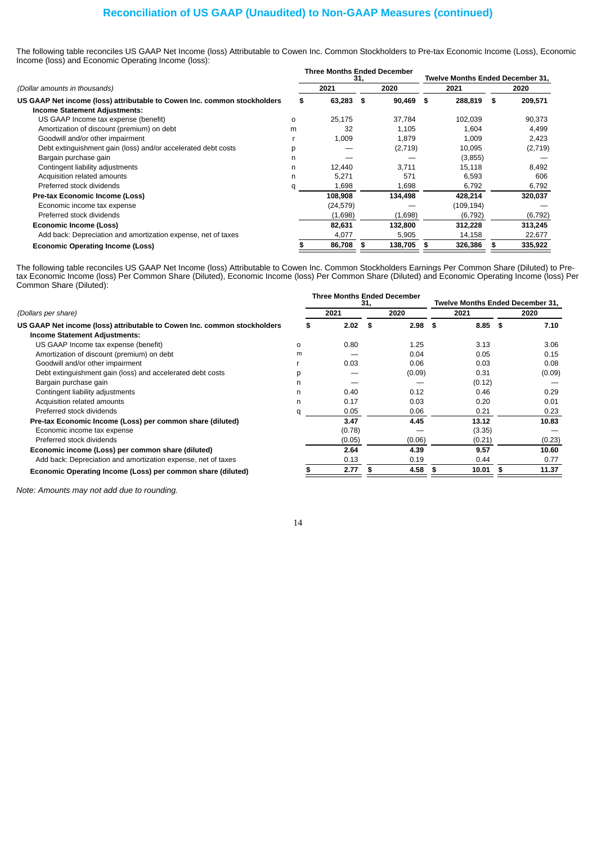# **Reconciliation of US GAAP (Unaudited) to Non-GAAP Measures (continued)**

The following table reconciles US GAAP Net Income (loss) Attributable to Cowen Inc. Common Stockholders to Pre-tax Economic Income (Loss), Economic Income (loss) and Economic Operating Income (loss):

|                                                                                                           |   | <b>Three Months Ended December</b> | 31,          |     |      | <b>Twelve Months Ended December 31.</b> |      |          |
|-----------------------------------------------------------------------------------------------------------|---|------------------------------------|--------------|-----|------|-----------------------------------------|------|----------|
| (Dollar amounts in thousands)<br>US GAAP Net income (loss) attributable to Cowen Inc. common stockholders |   | 2021                               | 2020         |     | 2021 |                                         | 2020 |          |
|                                                                                                           |   | 63,283                             | 90,469<br>\$ |     | \$   | 288,819                                 | \$   | 209,571  |
| <b>Income Statement Adjustments:</b>                                                                      |   |                                    |              |     |      |                                         |      |          |
| US GAAP Income tax expense (benefit)                                                                      | 0 | 25,175                             | 37,784       |     |      | 102,039                                 |      | 90,373   |
| Amortization of discount (premium) on debt                                                                | m | 32                                 | 1,105        |     |      | 1,604                                   |      | 4,499    |
| Goodwill and/or other impairment                                                                          |   | 1,009                              | 1,879        |     |      | 1,009                                   |      | 2,423    |
| Debt extinguishment gain (loss) and/or accelerated debt costs                                             | р |                                    | (2,719)      |     |      | 10,095                                  |      | (2,719)  |
| Bargain purchase gain                                                                                     | n |                                    |              |     |      | (3,855)                                 |      |          |
| Contingent liability adjustments                                                                          | n | 12,440                             | 3,711        |     |      | 15,118                                  |      | 8,492    |
| Acquisition related amounts                                                                               | n | 5,271                              |              | 571 |      | 6,593                                   |      | 606      |
| Preferred stock dividends                                                                                 | α | 1,698                              | 1,698        |     |      | 6,792                                   |      | 6,792    |
| Pre-tax Economic Income (Loss)                                                                            |   | 108,908                            | 134,498      |     |      | 428,214                                 |      | 320,037  |
| Economic income tax expense                                                                               |   | (24, 579)                          |              |     |      | (109, 194)                              |      |          |
| Preferred stock dividends                                                                                 |   | (1,698)                            | (1,698)      |     |      | (6, 792)                                |      | (6, 792) |
| <b>Economic Income (Loss)</b>                                                                             |   | 82,631                             | 132,800      |     |      | 312,228                                 |      | 313,245  |
| Add back: Depreciation and amortization expense, net of taxes                                             |   | 4,077                              | 5,905        |     |      | 14,158                                  |      | 22,677   |
| Economic Operating Income (Loss)                                                                          |   | 86,708                             | 138,705<br>S |     | s    | 326,386                                 | S    | 335,922  |

The following table reconciles US GAAP Net Income (loss) Attributable to Cowen Inc. Common Stockholders Earnings Per Common Share (Diluted) to Pretax Economic Income (loss) Per Common Share (Diluted), Economic Income (loss) Per Common Share (Diluted) and Economic Operating Income (loss) Per Common Share (Diluted):

|          | <b>Three Months Ended December</b><br>31, |      |        | <b>Twelve Months Ended December 31.</b> |      |        |  |
|----------|-------------------------------------------|------|--------|-----------------------------------------|------|--------|--|
|          | 2021                                      | 2020 |        | 2021                                    | 2020 |        |  |
|          | 2.02                                      | S    |        | \$                                      | - \$ | 7.10   |  |
|          |                                           |      |        |                                         |      |        |  |
| $\Omega$ | 0.80                                      |      | 1.25   | 3.13                                    |      | 3.06   |  |
| m        |                                           |      | 0.04   | 0.05                                    |      | 0.15   |  |
|          | 0.03                                      |      | 0.06   | 0.03                                    |      | 0.08   |  |
| D        |                                           |      | (0.09) | 0.31                                    |      | (0.09) |  |
| n        |                                           |      |        | (0.12)                                  |      |        |  |
| n        | 0.40                                      |      | 0.12   | 0.46                                    |      | 0.29   |  |
| n        | 0.17                                      |      | 0.03   | 0.20                                    |      | 0.01   |  |
| a        | 0.05                                      |      | 0.06   | 0.21                                    |      | 0.23   |  |
|          | 3.47                                      |      | 4.45   | 13.12                                   |      | 10.83  |  |
|          | (0.78)                                    |      |        | (3.35)                                  |      |        |  |
|          | (0.05)                                    |      | (0.06) | (0.21)                                  |      | (0.23) |  |
|          | 2.64                                      |      | 4.39   | 9.57                                    |      | 10.60  |  |
|          | 0.13                                      |      | 0.19   | 0.44                                    |      | 0.77   |  |
|          | 2.77                                      |      | 4.58   | 10.01                                   |      | 11.37  |  |
|          |                                           | S    |        |                                         | 2.98 | 8.85   |  |

*Note: Amounts may not add due to rounding.*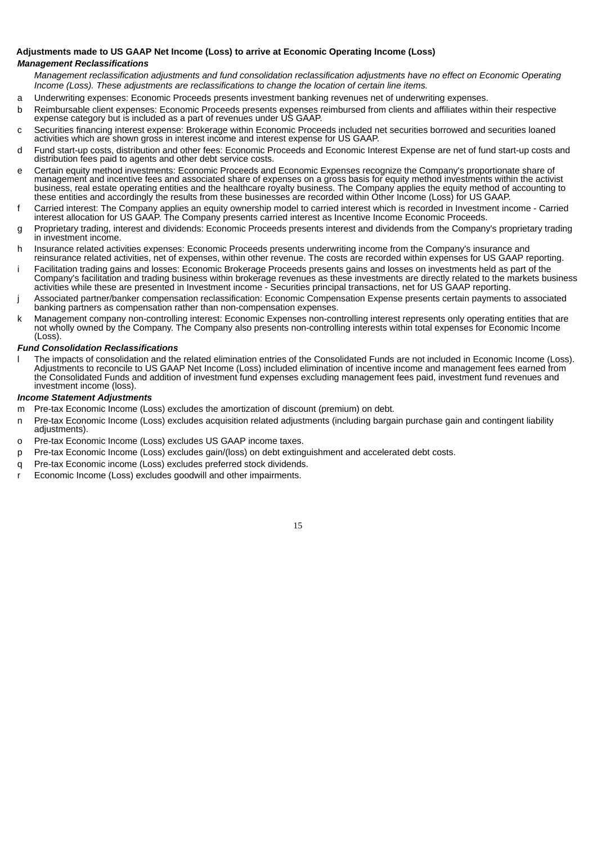## **Adjustments made to US GAAP Net Income (Loss) to arrive at Economic Operating Income (Loss)**

# *Management Reclassifications*

Management reclassification adjustments and fund consolidation reclassification adjustments have no effect on Economic Operating *Income (Loss). These adjustments are reclassifications to change the location of certain line items.*

- a Underwriting expenses: Economic Proceeds presents investment banking revenues net of underwriting expenses.
- b Reimbursable client expenses: Economic Proceeds presents expenses reimbursed from clients and affiliates within their respective expense category but is included as a part of revenues under US GAAP.
- c Securities financing interest expense: Brokerage within Economic Proceeds included net securities borrowed and securities loaned activities which are shown gross in interest income and interest expense for US GAAP.
- d Fund start-up costs, distribution and other fees: Economic Proceeds and Economic Interest Expense are net of fund start-up costs and distribution fees paid to agents and other debt service costs.
- e Certain equity method investments: Economic Proceeds and Economic Expenses recognize the Company's proportionate share of management and incentive fees and associated share of expenses on a gross basis for equity method investments within the activist business, real estate operating entities and the healthcare royalty business. The Company applies the equity method of accounting to these entities and accordingly the results from these businesses are recorded within Other Income (Loss) for US GAAP.
- Carried interest: The Company applies an equity ownership model to carried interest which is recorded in Investment income Carried interest allocation for US GAAP. The Company presents carried interest as Incentive Income Economic Proceeds.
- g Proprietary trading, interest and dividends: Economic Proceeds presents interest and dividends from the Company's proprietary trading in investment income.
- h Insurance related activities expenses: Economic Proceeds presents underwriting income from the Company's insurance and reinsurance related activities, net of expenses, within other revenue. The costs are recorded within expenses for US GAAP reporting.
- Facilitation trading gains and losses: Economic Brokerage Proceeds presents gains and losses on investments held as part of the Company's facilitation and trading business within brokerage revenues as these investments are directly related to the markets business activities while these are presented in Investment income - Securities principal transactions, net for US GAAP reporting.
- Associated partner/banker compensation reclassification: Economic Compensation Expense presents certain payments to associated banking partners as compensation rather than non-compensation expenses.
- k Management company non-controlling interest: Economic Expenses non-controlling interest represents only operating entities that are not wholly owned by the Company. The Company also presents non-controlling interests within total expenses for Economic Income (Loss).

# *Fund Consolidation Reclassifications*

l The impacts of consolidation and the related elimination entries of the Consolidated Funds are not included in Economic Income (Loss). Adjustments to reconcile to US GAAP Net Income (Loss) included elimination of incentive income and management fees earned from the Consolidated Funds and addition of investment fund expenses excluding management fees paid, investment fund revenues and investment income (loss).

#### *Income Statement Adjustments*

- m Pre-tax Economic Income (Loss) excludes the amortization of discount (premium) on debt.
- n Pre-tax Economic Income (Loss) excludes acquisition related adjustments (including bargain purchase gain and contingent liability adjustments).
- o Pre-tax Economic Income (Loss) excludes US GAAP income taxes.
- p Pre-tax Economic Income (Loss) excludes gain/(loss) on debt extinguishment and accelerated debt costs.
- q Pre-tax Economic income (Loss) excludes preferred stock dividends.
- r Economic Income (Loss) excludes goodwill and other impairments.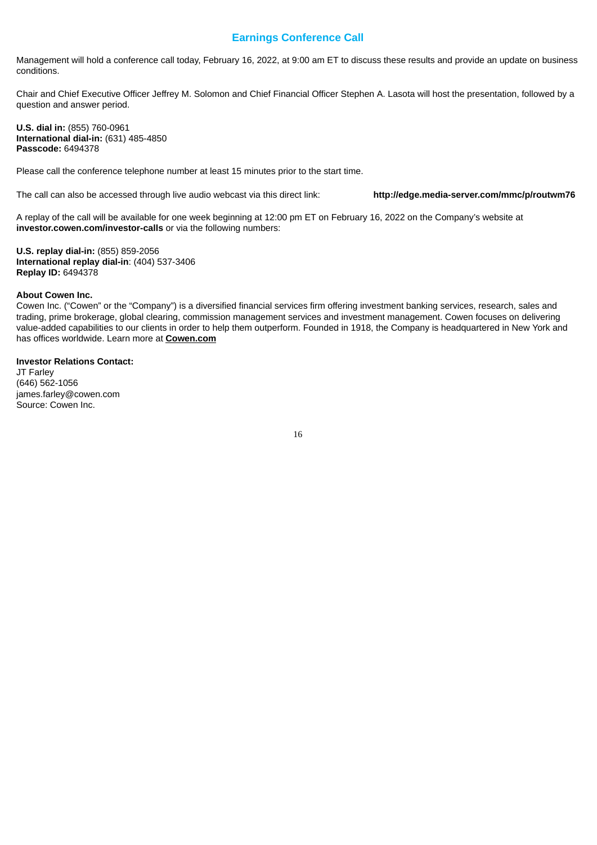# **Earnings Conference Call**

Management will hold a conference call today, February 16, 2022, at 9:00 am ET to discuss these results and provide an update on business conditions.

Chair and Chief Executive Officer Jeffrey M. Solomon and Chief Financial Officer Stephen A. Lasota will host the presentation, followed by a question and answer period.

**U.S. dial in:** (855) 760-0961 **International dial-in:** (631) 485-4850 **Passcode:** 6494378

Please call the conference telephone number at least 15 minutes prior to the start time.

The call can also be accessed through live audio webcast via this direct link: **http://edge.media-server.com/mmc/p/routwm76**

A replay of the call will be available for one week beginning at 12:00 pm ET on February 16, 2022 on the Company's website at **investor.cowen.com/investor-calls** or via the following numbers:

**U.S. replay dial-in:** (855) 859-2056 **International replay dial-in**: (404) 537-3406 **Replay ID:** 6494378

#### **About Cowen Inc.**

Cowen Inc. ("Cowen" or the "Company") is a diversified financial services firm offering investment banking services, research, sales and trading, prime brokerage, global clearing, commission management services and investment management. Cowen focuses on delivering value-added capabilities to our clients in order to help them outperform. Founded in 1918, the Company is headquartered in New York and has offices worldwide. Learn more at **Cowen.com**

#### **Investor Relations Contact:**

JT Farley (646) 562-1056 james.farley@cowen.com Source: Cowen Inc.